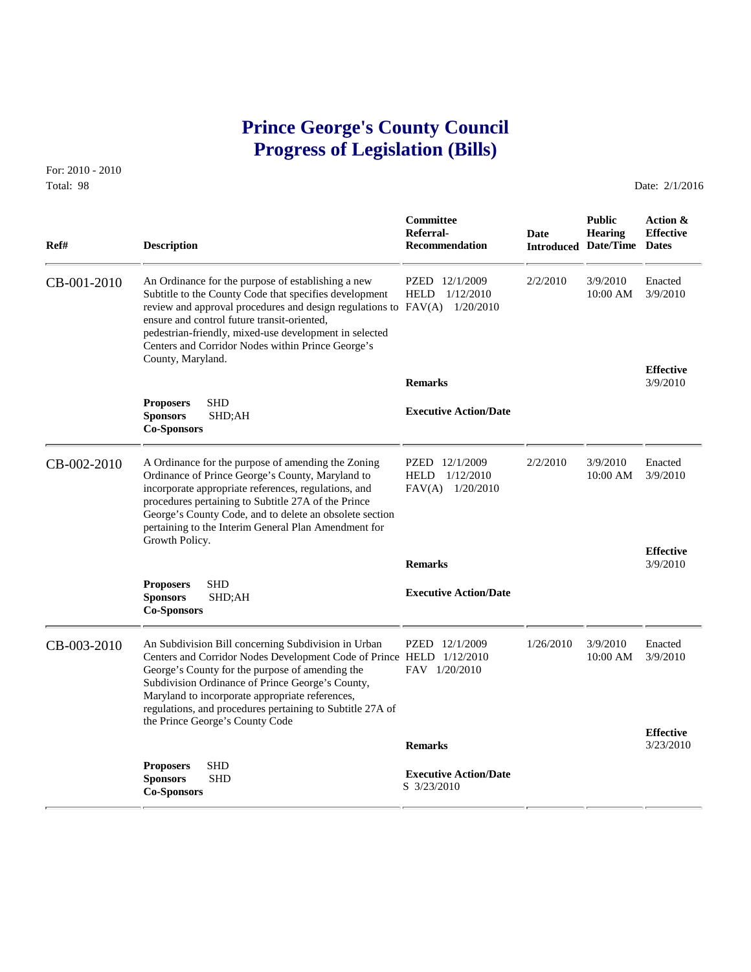# **Prince George's County Council Progress of Legislation (Bills)**

For: 2010 - 2010 Total: 98 Date: 2/1/2016

 **Committee Public Action & Referral- Date Hearing Effective Ref# Description Recommendation Introduced Date/Time Dates** CB-001-2010 An Ordinance for the purpose of establishing a new PZED 12/1/2009 2/2/2010 3/9/2010 Enacted<br>Subtitle to the County Code that specifies development HELD 1/12/2010 10:00 AM 3/9/2010 Subtitle to the County Code that specifies development review and approval procedures and design regulations to FAV(A) 1/20/2010 ensure and control future transit-oriented, pedestrian-friendly, mixed-use development in selected Centers and Corridor Nodes within Prince George's County, Maryland. **Effective Remarks** 3/9/2010 **Proposers** SHD **Executive Action/Date Shows** SHD;AH **Executive Action/Date Co-Sponsors**  CB-002-2010 A Ordinance for the purpose of amending the Zoning PZED 12/1/2009 2/2/2010 3/9/2010 Enacted<br>Ordinance of Prince George's County, Maryland to HELD 1/12/2010 10:00 AM 3/9/2010 Ordinance of Prince George's County, Maryland to incorporate appropriate references, regulations, and FAV(A) 1/20/2010 procedures pertaining to Subtitle 27A of the Prince George's County Code, and to delete an obsolete section pertaining to the Interim General Plan Amendment for Growth Policy. **Effective Remarks** 3/9/2010 **Proposers** SHD **Executive Action/Date Sponsors SHD**;AH **Executive Action/Date Co-Sponsors**  CB-003-2010 An Subdivision Bill concerning Subdivision in Urban PZED 12/1/2009 1/26/2010 3/9/2010 Enacted<br>Centers and Corridor Nodes Development Code of Prince HELD 1/12/2010 10:00 AM 3/9/2010 Centers and Corridor Nodes Development Code of Prince HELD 1/12/2010 George's County for the purpose of amending the FAV  $1/20/2010$ Subdivision Ordinance of Prince George's County, Maryland to incorporate appropriate references, regulations, and procedures pertaining to Subtitle 27A of the Prince George's County Code **Effective Remarks** 3/23/2010 **Proposers** SHD  **Executive Action/Date Sponsors** SHD  $Co-Sponsors$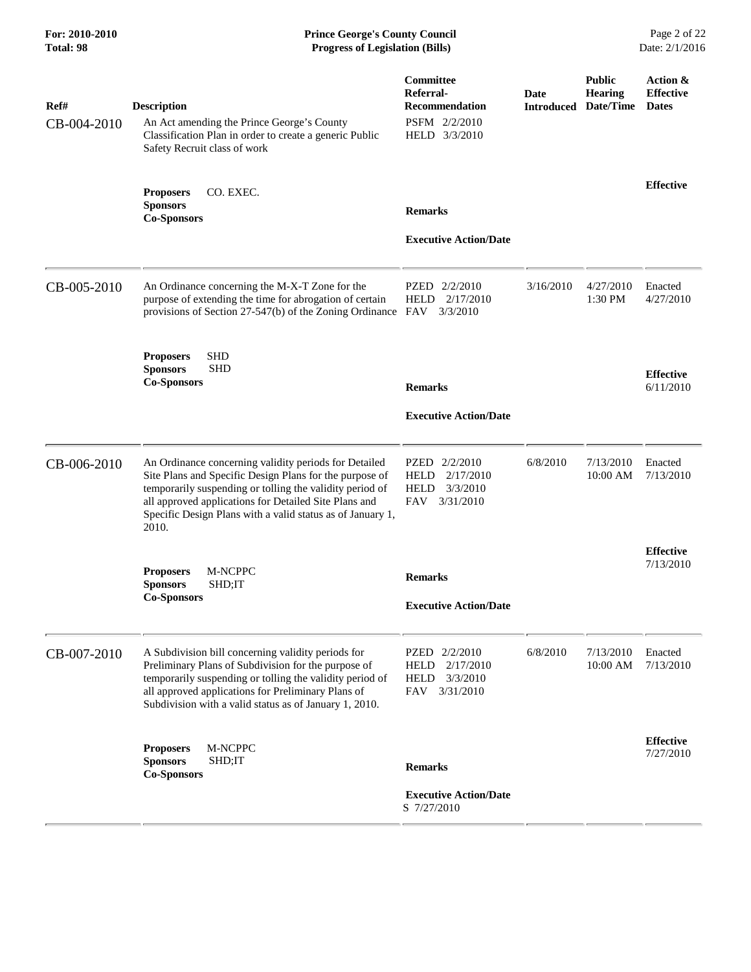### **For: 2010-2010 Prince George's County Council** Page 2 of 22<br> **Formal Page 2** of 22<br> **Prince George's County Council** Page 2 of 22<br> **Progress of Legislation (Bills)** Date: 2/1/2016 **Total: 98 Progress of Legislation (Bills)**

| Ref#<br>CB-004-2010 | <b>Description</b><br>An Act amending the Prince George's County<br>Classification Plan in order to create a generic Public<br>Safety Recruit class of work                                                                                                                                                  | <b>Committee</b><br>Referral-<br><b>Recommendation</b><br>PSFM 2/2/2010<br>HELD 3/3/2010 | <b>Date</b> | <b>Public</b><br><b>Hearing</b><br><b>Introduced Date/Time</b> | Action &<br><b>Effective</b><br><b>Dates</b> |
|---------------------|--------------------------------------------------------------------------------------------------------------------------------------------------------------------------------------------------------------------------------------------------------------------------------------------------------------|------------------------------------------------------------------------------------------|-------------|----------------------------------------------------------------|----------------------------------------------|
|                     | CO. EXEC.<br><b>Proposers</b><br><b>Sponsors</b><br><b>Co-Sponsors</b>                                                                                                                                                                                                                                       | <b>Remarks</b><br><b>Executive Action/Date</b>                                           |             |                                                                | <b>Effective</b>                             |
| CB-005-2010         | An Ordinance concerning the M-X-T Zone for the<br>purpose of extending the time for abrogation of certain<br>provisions of Section 27-547(b) of the Zoning Ordinance FAV                                                                                                                                     | PZED 2/2/2010<br><b>HELD</b><br>2/17/2010<br>3/3/2010                                    | 3/16/2010   | 4/27/2010<br>1:30 PM                                           | Enacted<br>4/27/2010                         |
|                     | <b>SHD</b><br><b>Proposers</b><br><b>Sponsors</b><br><b>SHD</b><br><b>Co-Sponsors</b>                                                                                                                                                                                                                        | <b>Remarks</b><br><b>Executive Action/Date</b>                                           |             |                                                                | <b>Effective</b><br>6/11/2010                |
| CB-006-2010         | An Ordinance concerning validity periods for Detailed<br>Site Plans and Specific Design Plans for the purpose of<br>temporarily suspending or tolling the validity period of<br>all approved applications for Detailed Site Plans and<br>Specific Design Plans with a valid status as of January 1,<br>2010. | PZED 2/2/2010<br><b>HELD</b><br>2/17/2010<br>3/3/2010<br><b>HELD</b><br>3/31/2010<br>FAV | 6/8/2010    | 7/13/2010<br>10:00 AM                                          | Enacted<br>7/13/2010                         |
|                     | M-NCPPC<br><b>Proposers</b><br><b>Sponsors</b><br>SHD;IT<br><b>Co-Sponsors</b>                                                                                                                                                                                                                               | <b>Remarks</b><br><b>Executive Action/Date</b>                                           |             |                                                                | <b>Effective</b><br>7/13/2010                |
| CB-007-2010         | A Subdivision bill concerning validity periods for<br>Preliminary Plans of Subdivision for the purpose of<br>temporarily suspending or tolling the validity period of<br>all approved applications for Preliminary Plans of<br>Subdivision with a valid status as of January 1, 2010.                        | PZED 2/2/2010<br><b>HELD</b><br>2/17/2010<br>3/3/2010<br><b>HELD</b><br>FAV<br>3/31/2010 | 6/8/2010    | 7/13/2010<br>10:00 AM                                          | Enacted<br>7/13/2010                         |
|                     | <b>Proposers</b><br>M-NCPPC<br><b>Sponsors</b><br>SHD;IT<br><b>Co-Sponsors</b>                                                                                                                                                                                                                               | <b>Remarks</b><br><b>Executive Action/Date</b><br>S 7/27/2010                            |             |                                                                | <b>Effective</b><br>7/27/2010                |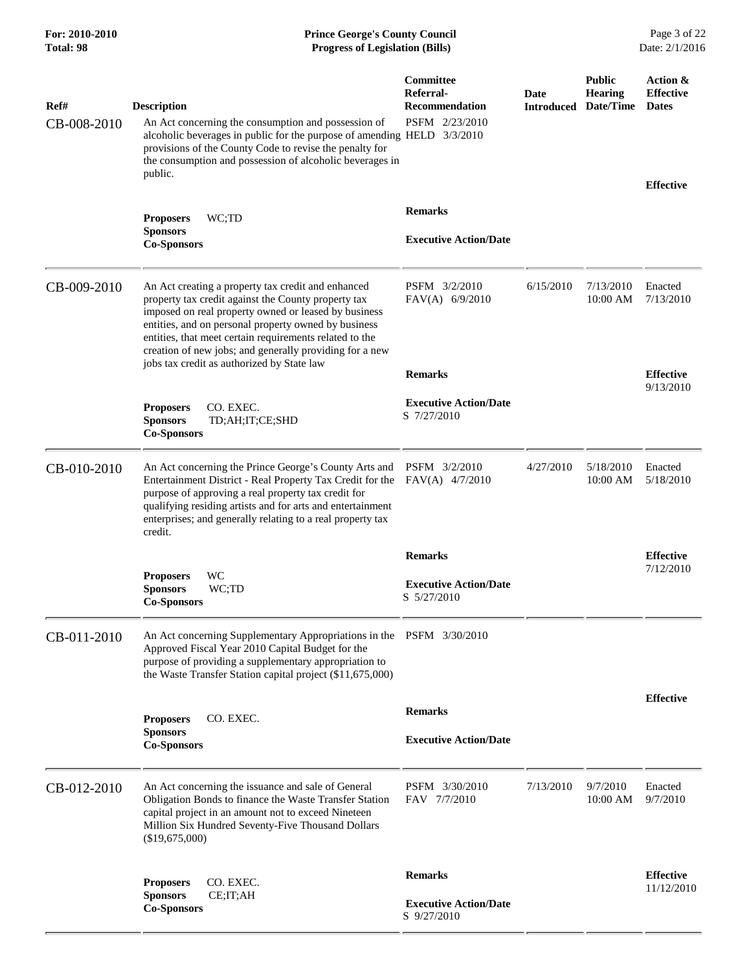### **For: 2010-2010 Prince George's County Council** Page 3 of 22<br> **Forms Prince George's County Council** Page 3 of 22<br> **Progress of Legislation (Bills)** Date: 2/1/2016 **Total: 98 Progress of Legislation (Bills)**

| Ref#<br>CB-008-2010 | <b>Description</b><br>An Act concerning the consumption and possession of<br>alcoholic beverages in public for the purpose of amending HELD 3/3/2010<br>provisions of the County Code to revise the penalty for<br>the consumption and possession of alcoholic beverages in<br>public.                                                                                                        | Committee<br>Referral-<br><b>Recommendation</b><br>PSFM 2/23/2010 | Date<br><b>Introduced</b> | <b>Public</b><br><b>Hearing</b><br>Date/Time | Action &<br><b>Effective</b><br><b>Dates</b> |
|---------------------|-----------------------------------------------------------------------------------------------------------------------------------------------------------------------------------------------------------------------------------------------------------------------------------------------------------------------------------------------------------------------------------------------|-------------------------------------------------------------------|---------------------------|----------------------------------------------|----------------------------------------------|
|                     |                                                                                                                                                                                                                                                                                                                                                                                               | <b>Remarks</b>                                                    |                           |                                              | <b>Effective</b>                             |
|                     | <b>Proposers</b><br>WC;TD<br><b>Sponsors</b><br><b>Co-Sponsors</b>                                                                                                                                                                                                                                                                                                                            | <b>Executive Action/Date</b>                                      |                           |                                              |                                              |
| CB-009-2010         | An Act creating a property tax credit and enhanced<br>property tax credit against the County property tax<br>imposed on real property owned or leased by business<br>entities, and on personal property owned by business<br>entities, that meet certain requirements related to the<br>creation of new jobs; and generally providing for a new<br>jobs tax credit as authorized by State law | PSFM 3/2/2010<br>$FAV(A)$ 6/9/2010                                | 6/15/2010                 | 7/13/2010<br>10:00 AM                        | Enacted<br>7/13/2010                         |
|                     |                                                                                                                                                                                                                                                                                                                                                                                               | <b>Remarks</b>                                                    |                           |                                              | <b>Effective</b><br>9/13/2010                |
|                     | CO. EXEC.<br><b>Proposers</b><br><b>Sponsors</b><br>TD;AH;IT;CE;SHD<br><b>Co-Sponsors</b>                                                                                                                                                                                                                                                                                                     | <b>Executive Action/Date</b><br>S 7/27/2010                       |                           |                                              |                                              |
| CB-010-2010         | An Act concerning the Prince George's County Arts and<br>Entertainment District - Real Property Tax Credit for the<br>purpose of approving a real property tax credit for<br>qualifying residing artists and for arts and entertainment<br>enterprises; and generally relating to a real property tax<br>credit.                                                                              | PSFM 3/2/2010<br>$FAV(A)$ 4/7/2010                                | 4/27/2010                 | 5/18/2010<br>10:00 AM                        | Enacted<br>5/18/2010                         |
|                     |                                                                                                                                                                                                                                                                                                                                                                                               | <b>Remarks</b>                                                    |                           |                                              | <b>Effective</b>                             |
|                     | WC<br><b>Proposers</b><br>WC;TD<br><b>Sponsors</b><br><b>Co-Sponsors</b>                                                                                                                                                                                                                                                                                                                      | <b>Executive Action/Date</b><br>S 5/27/2010                       |                           |                                              | 7/12/2010                                    |
| CB-011-2010         | An Act concerning Supplementary Appropriations in the PSFM 3/30/2010<br>Approved Fiscal Year 2010 Capital Budget for the<br>purpose of providing a supplementary appropriation to<br>the Waste Transfer Station capital project (\$11,675,000)                                                                                                                                                |                                                                   |                           |                                              |                                              |
|                     |                                                                                                                                                                                                                                                                                                                                                                                               | <b>Remarks</b>                                                    |                           |                                              | <b>Effective</b>                             |
|                     | <b>Proposers</b><br>CO. EXEC.<br><b>Sponsors</b><br><b>Co-Sponsors</b>                                                                                                                                                                                                                                                                                                                        | <b>Executive Action/Date</b>                                      |                           |                                              |                                              |
| CB-012-2010         | An Act concerning the issuance and sale of General<br>Obligation Bonds to finance the Waste Transfer Station<br>capital project in an amount not to exceed Nineteen<br>Million Six Hundred Seventy-Five Thousand Dollars<br>(\$19,675,000)                                                                                                                                                    | PSFM 3/30/2010<br>FAV 7/7/2010                                    | 7/13/2010                 | 9/7/2010<br>10:00 AM                         | Enacted<br>9/7/2010                          |
|                     | CO. EXEC.<br><b>Proposers</b><br><b>Sponsors</b><br>CE;IT;AH                                                                                                                                                                                                                                                                                                                                  | <b>Remarks</b>                                                    |                           |                                              | <b>Effective</b><br>11/12/2010               |
|                     | <b>Co-Sponsors</b>                                                                                                                                                                                                                                                                                                                                                                            | <b>Executive Action/Date</b><br>S 9/27/2010                       |                           |                                              |                                              |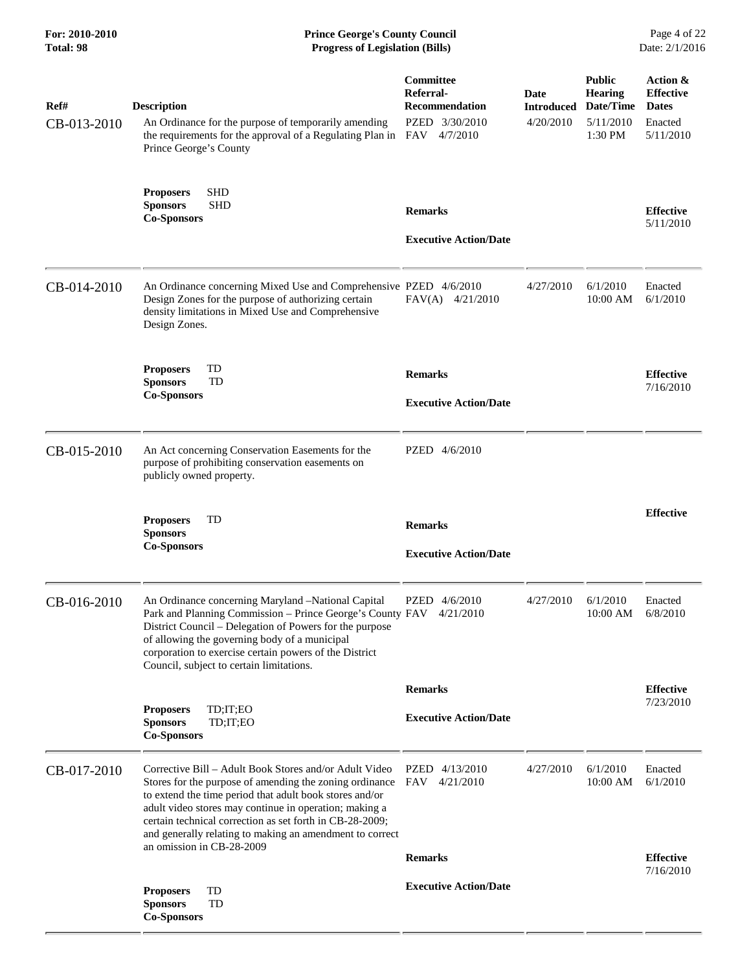| For: 2010-2010<br>Total: 98 | <b>Prince George's County Council</b><br><b>Progress of Legislation (Bills)</b>                                                                                                                                                                                                                                                                                                             |                                                                                          | Page 4 of 22<br>Date: 2/1/2016         |                                                               |                                                                      |
|-----------------------------|---------------------------------------------------------------------------------------------------------------------------------------------------------------------------------------------------------------------------------------------------------------------------------------------------------------------------------------------------------------------------------------------|------------------------------------------------------------------------------------------|----------------------------------------|---------------------------------------------------------------|----------------------------------------------------------------------|
| Ref#<br>CB-013-2010         | <b>Description</b><br>An Ordinance for the purpose of temporarily amending<br>the requirements for the approval of a Regulating Plan in<br>Prince George's County                                                                                                                                                                                                                           | <b>Committee</b><br>Referral-<br><b>Recommendation</b><br>PZED 3/30/2010<br>FAV 4/7/2010 | Date<br><b>Introduced</b><br>4/20/2010 | <b>Public</b><br>Hearing<br>Date/Time<br>5/11/2010<br>1:30 PM | Action &<br><b>Effective</b><br><b>Dates</b><br>Enacted<br>5/11/2010 |
|                             | <b>SHD</b><br><b>Proposers</b><br><b>SHD</b><br><b>Sponsors</b><br><b>Co-Sponsors</b>                                                                                                                                                                                                                                                                                                       | <b>Remarks</b><br><b>Executive Action/Date</b>                                           |                                        |                                                               | <b>Effective</b><br>5/11/2010                                        |
| CB-014-2010                 | An Ordinance concerning Mixed Use and Comprehensive PZED 4/6/2010<br>Design Zones for the purpose of authorizing certain<br>density limitations in Mixed Use and Comprehensive<br>Design Zones.                                                                                                                                                                                             | $FAV(A)$ 4/21/2010                                                                       | 4/27/2010                              | 6/1/2010<br>10:00 AM                                          | Enacted<br>6/1/2010                                                  |
|                             | TD<br><b>Proposers</b><br>TD<br><b>Sponsors</b><br><b>Co-Sponsors</b>                                                                                                                                                                                                                                                                                                                       | <b>Remarks</b><br><b>Executive Action/Date</b>                                           |                                        |                                                               | <b>Effective</b><br>7/16/2010                                        |
| CB-015-2010                 | An Act concerning Conservation Easements for the<br>purpose of prohibiting conservation easements on<br>publicly owned property.                                                                                                                                                                                                                                                            | PZED 4/6/2010                                                                            |                                        |                                                               |                                                                      |
|                             | <b>Proposers</b><br>TD<br><b>Sponsors</b><br><b>Co-Sponsors</b>                                                                                                                                                                                                                                                                                                                             | <b>Remarks</b><br><b>Executive Action/Date</b>                                           |                                        |                                                               | <b>Effective</b>                                                     |
| CB-016-2010                 | An Ordinance concerning Maryland -National Capital<br>Park and Planning Commission - Prince George's County FAV<br>District Council – Delegation of Powers for the purpose<br>of allowing the governing body of a municipal<br>corporation to exercise certain powers of the District<br>Council, subject to certain limitations.                                                           | PZED 4/6/2010<br>4/21/2010                                                               | 4/27/2010                              | 6/1/2010<br>10:00 AM                                          | Enacted<br>6/8/2010                                                  |
|                             |                                                                                                                                                                                                                                                                                                                                                                                             | <b>Remarks</b>                                                                           |                                        |                                                               | <b>Effective</b>                                                     |
|                             | TD;IT;EO<br><b>Proposers</b><br><b>Sponsors</b><br>TD;IT;EO<br><b>Co-Sponsors</b>                                                                                                                                                                                                                                                                                                           | <b>Executive Action/Date</b>                                                             |                                        |                                                               | 7/23/2010                                                            |
| CB-017-2010                 | Corrective Bill – Adult Book Stores and/or Adult Video<br>Stores for the purpose of amending the zoning ordinance<br>to extend the time period that adult book stores and/or<br>adult video stores may continue in operation; making a<br>certain technical correction as set forth in CB-28-2009;<br>and generally relating to making an amendment to correct<br>an omission in CB-28-2009 | <b>PZED</b><br>4/13/2010<br>FAV<br>4/21/2010                                             | 4/27/2010                              | 6/1/2010<br>10:00 AM                                          | Enacted<br>6/1/2010                                                  |
|                             |                                                                                                                                                                                                                                                                                                                                                                                             | <b>Remarks</b>                                                                           |                                        |                                                               | <b>Effective</b><br>7/16/2010                                        |
|                             | TD<br><b>Proposers</b><br><b>Sponsors</b><br>TD<br><b>Co-Sponsors</b>                                                                                                                                                                                                                                                                                                                       | <b>Executive Action/Date</b>                                                             |                                        |                                                               |                                                                      |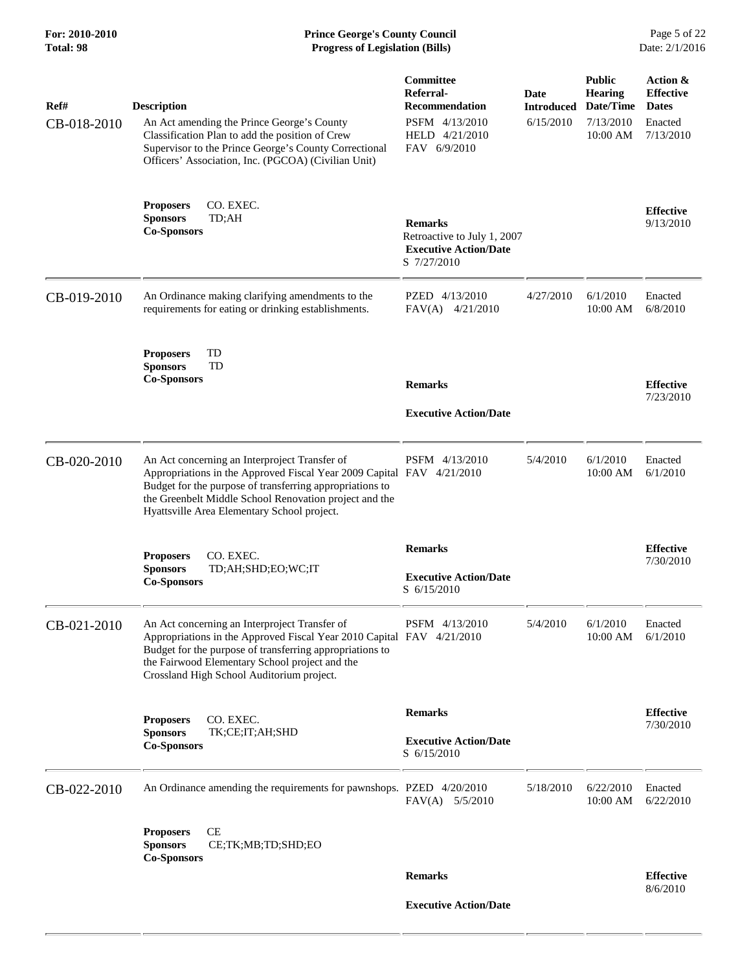| Ref#<br>CB-018-2010 | <b>Description</b><br>An Act amending the Prince George's County<br>Classification Plan to add the position of Crew<br>Supervisor to the Prince George's County Correctional<br>Officers' Association, Inc. (PGCOA) (Civilian Unit)                                                         | Committee<br>Referral-<br><b>Recommendation</b><br>PSFM 4/13/2010<br>HELD 4/21/2010<br>FAV 6/9/2010 | Date<br><b>Introduced</b><br>6/15/2010 | <b>Public</b><br><b>Hearing</b><br>Date/Time<br>7/13/2010<br>10:00 AM | Action &<br><b>Effective</b><br><b>Dates</b><br>Enacted<br>7/13/2010 |
|---------------------|---------------------------------------------------------------------------------------------------------------------------------------------------------------------------------------------------------------------------------------------------------------------------------------------|-----------------------------------------------------------------------------------------------------|----------------------------------------|-----------------------------------------------------------------------|----------------------------------------------------------------------|
|                     | CO. EXEC.<br><b>Proposers</b><br><b>Sponsors</b><br>TD;AH<br><b>Co-Sponsors</b>                                                                                                                                                                                                             | <b>Remarks</b><br>Retroactive to July 1, 2007<br><b>Executive Action/Date</b><br>S 7/27/2010        |                                        |                                                                       | <b>Effective</b><br>9/13/2010                                        |
| CB-019-2010         | An Ordinance making clarifying amendments to the<br>requirements for eating or drinking establishments.                                                                                                                                                                                     | PZED 4/13/2010<br>$FAV(A)$ 4/21/2010                                                                | 4/27/2010                              | 6/1/2010<br>10:00 AM                                                  | Enacted<br>6/8/2010                                                  |
|                     | TD<br><b>Proposers</b><br><b>Sponsors</b><br>TD<br><b>Co-Sponsors</b>                                                                                                                                                                                                                       | <b>Remarks</b><br><b>Executive Action/Date</b>                                                      |                                        |                                                                       | <b>Effective</b><br>7/23/2010                                        |
| CB-020-2010         | An Act concerning an Interproject Transfer of<br>Appropriations in the Approved Fiscal Year 2009 Capital FAV 4/21/2010<br>Budget for the purpose of transferring appropriations to<br>the Greenbelt Middle School Renovation project and the<br>Hyattsville Area Elementary School project. | PSFM 4/13/2010                                                                                      | 5/4/2010                               | 6/1/2010<br>10:00 AM                                                  | Enacted<br>6/1/2010                                                  |
|                     | CO. EXEC.<br><b>Proposers</b><br><b>Sponsors</b><br>TD;AH;SHD;EO;WC;IT<br><b>Co-Sponsors</b>                                                                                                                                                                                                | <b>Remarks</b><br><b>Executive Action/Date</b><br>S 6/15/2010                                       |                                        |                                                                       | <b>Effective</b><br>7/30/2010                                        |
| CB-021-2010         | An Act concerning an Interproject Transfer of<br>Appropriations in the Approved Fiscal Year 2010 Capital FAV 4/21/2010<br>Budget for the purpose of transferring appropriations to<br>the Fairwood Elementary School project and the<br>Crossland High School Auditorium project.           | PSFM 4/13/2010                                                                                      | 5/4/2010                               | 6/1/2010<br>10:00 AM                                                  | Enacted<br>6/1/2010                                                  |
|                     | CO. EXEC.<br><b>Proposers</b><br><b>Sponsors</b><br>TK;CE;IT;AH;SHD<br><b>Co-Sponsors</b>                                                                                                                                                                                                   | <b>Remarks</b><br><b>Executive Action/Date</b><br>S 6/15/2010                                       |                                        |                                                                       | <b>Effective</b><br>7/30/2010                                        |
| CB-022-2010         | An Ordinance amending the requirements for pawnshops. PZED 4/20/2010                                                                                                                                                                                                                        | FAV(A) 5/5/2010                                                                                     | 5/18/2010                              | 6/22/2010<br>10:00 AM                                                 | Enacted<br>6/22/2010                                                 |
|                     | CE<br><b>Proposers</b><br><b>Sponsors</b><br>CE;TK;MB;TD;SHD;EO<br><b>Co-Sponsors</b>                                                                                                                                                                                                       |                                                                                                     |                                        |                                                                       |                                                                      |
|                     |                                                                                                                                                                                                                                                                                             | <b>Remarks</b>                                                                                      |                                        |                                                                       | <b>Effective</b><br>8/6/2010                                         |
|                     |                                                                                                                                                                                                                                                                                             | <b>Executive Action/Date</b>                                                                        |                                        |                                                                       |                                                                      |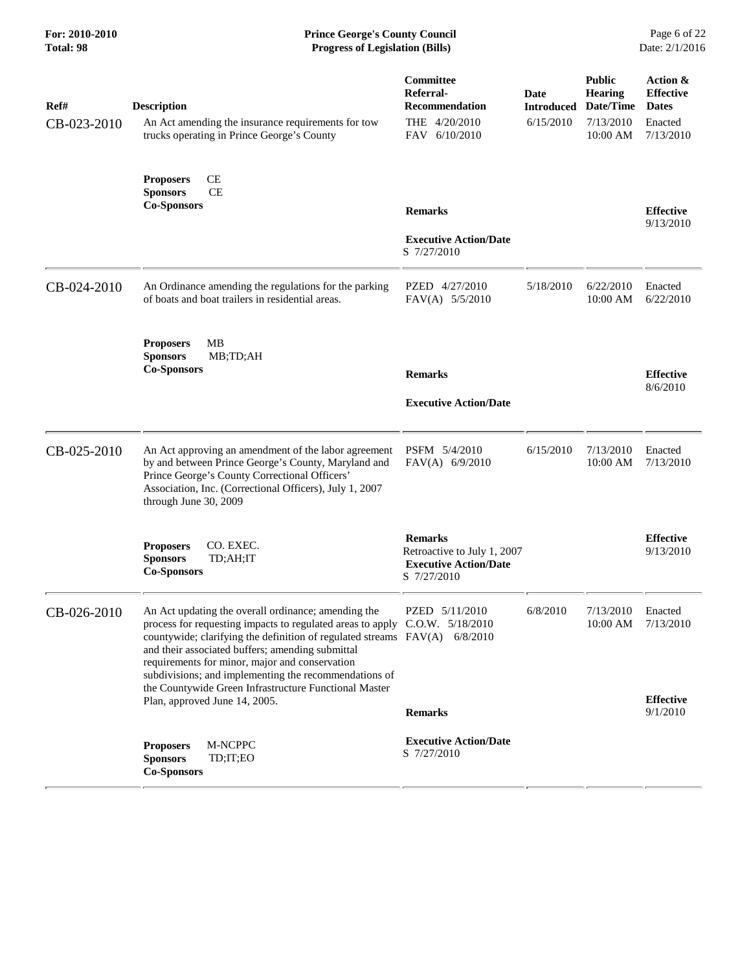| Ref#<br>CB-023-2010 | <b>Description</b><br>An Act amending the insurance requirements for tow<br>trucks operating in Prince George's County                                                                                                                                                                                                                                                                                                                                                    | <b>Committee</b><br>Referral-<br><b>Recommendation</b><br>THE 4/20/2010<br>FAV 6/10/2010     | Date<br><b>Introduced</b><br>6/15/2010 | <b>Public</b><br><b>Hearing</b><br>Date/Time<br>7/13/2010<br>10:00 AM | Action &<br><b>Effective</b><br><b>Dates</b><br>Enacted<br>7/13/2010 |
|---------------------|---------------------------------------------------------------------------------------------------------------------------------------------------------------------------------------------------------------------------------------------------------------------------------------------------------------------------------------------------------------------------------------------------------------------------------------------------------------------------|----------------------------------------------------------------------------------------------|----------------------------------------|-----------------------------------------------------------------------|----------------------------------------------------------------------|
|                     | CE<br><b>Proposers</b><br><b>CE</b><br><b>Sponsors</b><br><b>Co-Sponsors</b>                                                                                                                                                                                                                                                                                                                                                                                              | <b>Remarks</b><br><b>Executive Action/Date</b><br>S 7/27/2010                                |                                        |                                                                       | <b>Effective</b><br>9/13/2010                                        |
| CB-024-2010         | An Ordinance amending the regulations for the parking<br>of boats and boat trailers in residential areas.                                                                                                                                                                                                                                                                                                                                                                 | PZED 4/27/2010<br>$FAV(A)$ 5/5/2010                                                          | 5/18/2010                              | 6/22/2010<br>10:00 AM                                                 | Enacted<br>6/22/2010                                                 |
|                     | <b>Proposers</b><br>MВ<br><b>Sponsors</b><br>MB;TD;AH<br><b>Co-Sponsors</b>                                                                                                                                                                                                                                                                                                                                                                                               | <b>Remarks</b><br><b>Executive Action/Date</b>                                               |                                        |                                                                       | <b>Effective</b><br>8/6/2010                                         |
| CB-025-2010         | An Act approving an amendment of the labor agreement<br>by and between Prince George's County, Maryland and<br>Prince George's County Correctional Officers'<br>Association, Inc. (Correctional Officers), July 1, 2007<br>through June 30, 2009                                                                                                                                                                                                                          | PSFM 5/4/2010<br>$FAV(A)$ 6/9/2010                                                           | 6/15/2010                              | 7/13/2010<br>10:00 AM                                                 | Enacted<br>7/13/2010                                                 |
|                     | CO. EXEC.<br><b>Proposers</b><br><b>Sponsors</b><br>TD;AH;IT<br><b>Co-Sponsors</b>                                                                                                                                                                                                                                                                                                                                                                                        | <b>Remarks</b><br>Retroactive to July 1, 2007<br><b>Executive Action/Date</b><br>S 7/27/2010 |                                        |                                                                       | <b>Effective</b><br>9/13/2010                                        |
| CB-026-2010         | An Act updating the overall ordinance; amending the<br>process for requesting impacts to regulated areas to apply C.O.W. 5/18/2010<br>countywide; clarifying the definition of regulated streams FAV(A) 6/8/2010<br>and their associated buffers; amending submittal<br>requirements for minor, major and conservation<br>subdivisions; and implementing the recommendations of<br>the Countywide Green Infrastructure Functional Master<br>Plan, approved June 14, 2005. | PZED 5/11/2010<br><b>Remarks</b>                                                             | 6/8/2010                               | 7/13/2010<br>10:00 AM 7/13/2010                                       | Enacted<br><b>Effective</b><br>9/1/2010                              |
|                     | M-NCPPC<br><b>Proposers</b><br>TD;IT;EO<br><b>Sponsors</b><br><b>Co-Sponsors</b>                                                                                                                                                                                                                                                                                                                                                                                          | <b>Executive Action/Date</b><br>S 7/27/2010                                                  |                                        |                                                                       |                                                                      |

 $\overline{a}$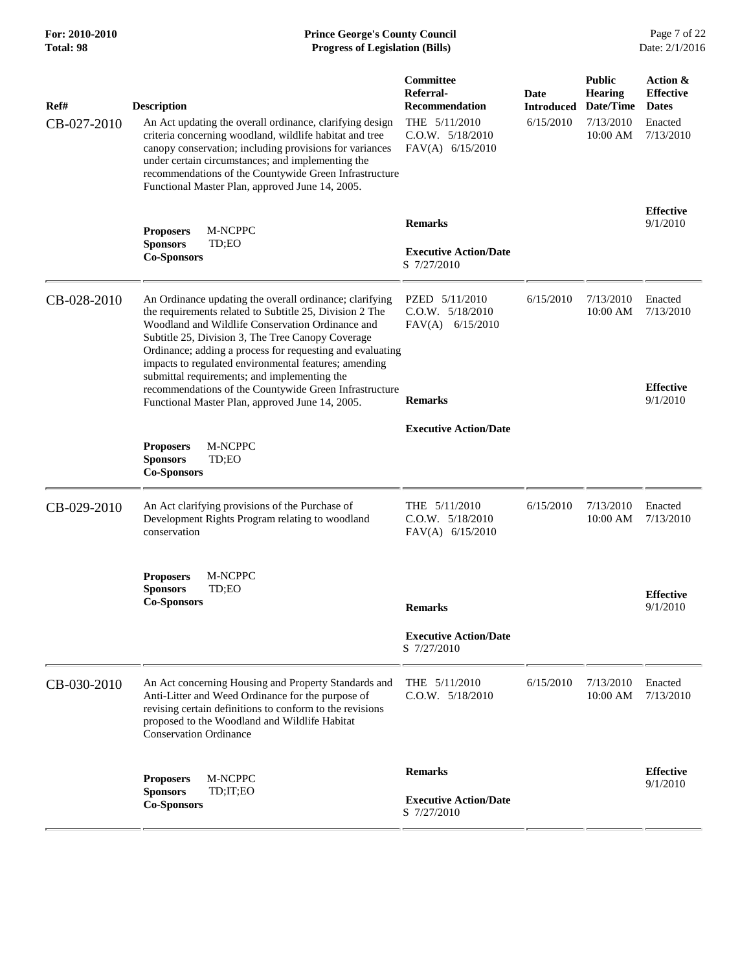| Ref#<br>CB-027-2010 | <b>Description</b><br>An Act updating the overall ordinance, clarifying design<br>criteria concerning woodland, wildlife habitat and tree<br>canopy conservation; including provisions for variances<br>under certain circumstances; and implementing the<br>recommendations of the Countywide Green Infrastructure<br>Functional Master Plan, approved June 14, 2005. | Committee<br>Referral-<br><b>Recommendation</b><br>THE $5/11/2010$<br>C.O.W. 5/18/2010<br>FAV(A) $6/15/2010$ | <b>Date</b><br><b>Introduced</b><br>6/15/2010 | <b>Public</b><br><b>Hearing</b><br>Date/Time<br>7/13/2010<br>10:00 AM | Action &<br><b>Effective</b><br><b>Dates</b><br>Enacted<br>7/13/2010 |
|---------------------|------------------------------------------------------------------------------------------------------------------------------------------------------------------------------------------------------------------------------------------------------------------------------------------------------------------------------------------------------------------------|--------------------------------------------------------------------------------------------------------------|-----------------------------------------------|-----------------------------------------------------------------------|----------------------------------------------------------------------|
|                     | M-NCPPC<br><b>Proposers</b><br><b>Sponsors</b><br>TD;EO                                                                                                                                                                                                                                                                                                                | <b>Remarks</b>                                                                                               |                                               |                                                                       | <b>Effective</b><br>9/1/2010                                         |
|                     | <b>Co-Sponsors</b>                                                                                                                                                                                                                                                                                                                                                     | <b>Executive Action/Date</b><br>S 7/27/2010                                                                  |                                               |                                                                       |                                                                      |
| CB-028-2010         | An Ordinance updating the overall ordinance; clarifying<br>the requirements related to Subtitle 25, Division 2 The<br>Woodland and Wildlife Conservation Ordinance and<br>Subtitle 25, Division 3, The Tree Canopy Coverage<br>Ordinance; adding a process for requesting and evaluating                                                                               | PZED 5/11/2010<br>$C.0.W.$ $5/18/2010$<br>$FAV(A)$ 6/15/2010                                                 | 6/15/2010                                     | 7/13/2010<br>10:00 AM                                                 | Enacted<br>7/13/2010                                                 |
|                     | impacts to regulated environmental features; amending<br>submittal requirements; and implementing the<br>recommendations of the Countywide Green Infrastructure<br>Functional Master Plan, approved June 14, 2005.                                                                                                                                                     | <b>Remarks</b>                                                                                               |                                               |                                                                       | <b>Effective</b><br>9/1/2010                                         |
|                     | M-NCPPC<br><b>Proposers</b><br><b>Sponsors</b><br>TD;EO<br><b>Co-Sponsors</b>                                                                                                                                                                                                                                                                                          | <b>Executive Action/Date</b>                                                                                 |                                               |                                                                       |                                                                      |
| CB-029-2010         | An Act clarifying provisions of the Purchase of<br>Development Rights Program relating to woodland<br>conservation                                                                                                                                                                                                                                                     | THE $5/11/2010$<br>$C.0.W.$ $5/18/2010$<br>$FAV(A)$ 6/15/2010                                                | 6/15/2010                                     | 7/13/2010<br>10:00 AM                                                 | Enacted<br>7/13/2010                                                 |
|                     | M-NCPPC<br><b>Proposers</b><br><b>Sponsors</b><br>TD;EO<br><b>Co-Sponsors</b>                                                                                                                                                                                                                                                                                          | <b>Remarks</b>                                                                                               |                                               |                                                                       | <b>Effective</b><br>9/1/2010                                         |
|                     |                                                                                                                                                                                                                                                                                                                                                                        | <b>Executive Action/Date</b><br>S 7/27/2010                                                                  |                                               |                                                                       |                                                                      |
| CB-030-2010         | An Act concerning Housing and Property Standards and<br>Anti-Litter and Weed Ordinance for the purpose of<br>revising certain definitions to conform to the revisions<br>proposed to the Woodland and Wildlife Habitat<br><b>Conservation Ordinance</b>                                                                                                                | THE $5/11/2010$<br>$C.0.W.$ $5/18/2010$                                                                      | 6/15/2010                                     | 7/13/2010<br>10:00 AM                                                 | Enacted<br>7/13/2010                                                 |
|                     | M-NCPPC<br><b>Proposers</b>                                                                                                                                                                                                                                                                                                                                            | <b>Remarks</b>                                                                                               |                                               |                                                                       | <b>Effective</b><br>9/1/2010                                         |
|                     | <b>Sponsors</b><br>TD;IT;EO<br><b>Co-Sponsors</b>                                                                                                                                                                                                                                                                                                                      | <b>Executive Action/Date</b><br>S 7/27/2010                                                                  |                                               |                                                                       |                                                                      |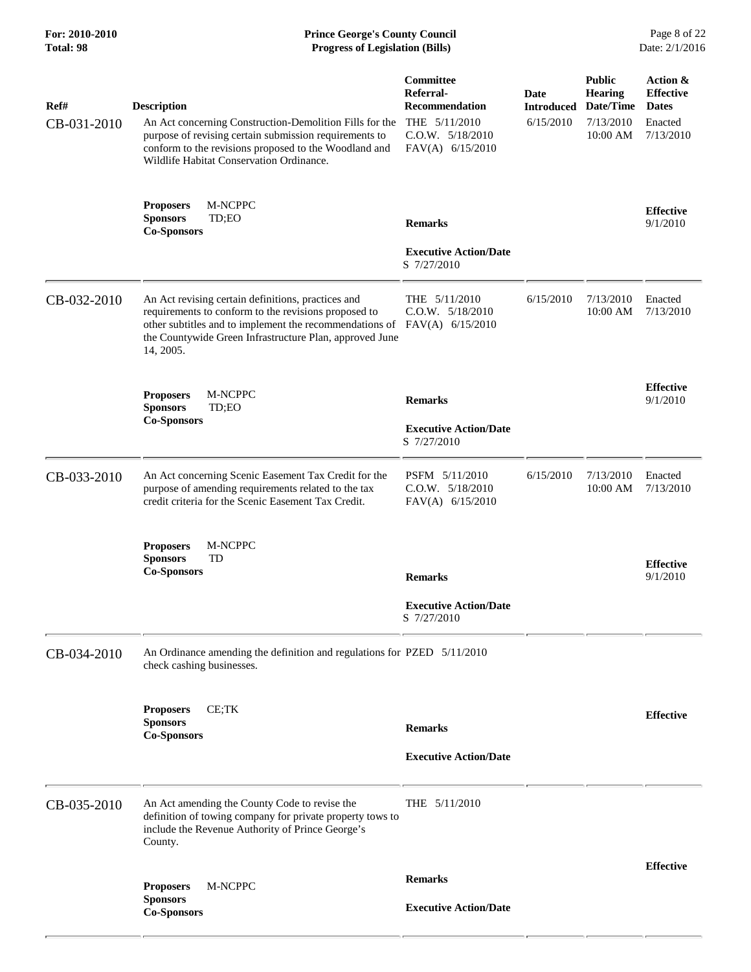| Ref#<br>CB-031-2010 | <b>Description</b><br>An Act concerning Construction-Demolition Fills for the<br>purpose of revising certain submission requirements to<br>conform to the revisions proposed to the Woodland and<br>Wildlife Habitat Conservation Ordinance.  | Committee<br>Referral-<br><b>Recommendation</b><br>THE 5/11/2010<br>$C.0.W.$ $5/18/2010$<br>FAV(A) $6/15/2010$ | Date<br><b>Introduced</b><br>6/15/2010 | <b>Public</b><br><b>Hearing</b><br>Date/Time<br>7/13/2010<br>10:00 AM | Action &<br><b>Effective</b><br><b>Dates</b><br>Enacted<br>7/13/2010 |
|---------------------|-----------------------------------------------------------------------------------------------------------------------------------------------------------------------------------------------------------------------------------------------|----------------------------------------------------------------------------------------------------------------|----------------------------------------|-----------------------------------------------------------------------|----------------------------------------------------------------------|
|                     | M-NCPPC<br><b>Proposers</b><br><b>Sponsors</b><br>TD;EO<br><b>Co-Sponsors</b>                                                                                                                                                                 | <b>Remarks</b><br><b>Executive Action/Date</b><br>S 7/27/2010                                                  |                                        |                                                                       | <b>Effective</b><br>9/1/2010                                         |
| CB-032-2010         | An Act revising certain definitions, practices and<br>requirements to conform to the revisions proposed to<br>other subtitles and to implement the recommendations of<br>the Countywide Green Infrastructure Plan, approved June<br>14, 2005. | THE $5/11/2010$<br>$C.0.W.$ $5/18/2010$<br>$FAV(A)$ 6/15/2010                                                  | 6/15/2010                              | 7/13/2010<br>10:00 AM                                                 | Enacted<br>7/13/2010                                                 |
|                     | M-NCPPC<br><b>Proposers</b><br><b>Sponsors</b><br>TD;EO<br><b>Co-Sponsors</b>                                                                                                                                                                 | <b>Remarks</b><br><b>Executive Action/Date</b><br>S 7/27/2010                                                  |                                        |                                                                       | <b>Effective</b><br>9/1/2010                                         |
| CB-033-2010         | An Act concerning Scenic Easement Tax Credit for the<br>purpose of amending requirements related to the tax<br>credit criteria for the Scenic Easement Tax Credit.                                                                            | PSFM 5/11/2010<br>$C.0.W.$ $5/18/2010$<br>$FAV(A)$ 6/15/2010                                                   | 6/15/2010                              | 7/13/2010<br>$10:00$ AM                                               | Enacted<br>7/13/2010                                                 |
|                     | M-NCPPC<br><b>Proposers</b><br><b>Sponsors</b><br>TD<br><b>Co-Sponsors</b>                                                                                                                                                                    | <b>Remarks</b><br><b>Executive Action/Date</b><br>S 7/27/2010                                                  |                                        |                                                                       | <b>Effective</b><br>9/1/2010                                         |
| CB-034-2010         | An Ordinance amending the definition and regulations for PZED 5/11/2010<br>check cashing businesses.                                                                                                                                          |                                                                                                                |                                        |                                                                       |                                                                      |
|                     | CE;TK<br><b>Proposers</b><br><b>Sponsors</b><br><b>Co-Sponsors</b>                                                                                                                                                                            | <b>Remarks</b><br><b>Executive Action/Date</b>                                                                 |                                        |                                                                       | <b>Effective</b>                                                     |
| CB-035-2010         | An Act amending the County Code to revise the<br>definition of towing company for private property tows to<br>include the Revenue Authority of Prince George's<br>County.                                                                     | THE $5/11/2010$                                                                                                |                                        |                                                                       |                                                                      |
|                     | M-NCPPC<br><b>Proposers</b><br><b>Sponsors</b><br><b>Co-Sponsors</b>                                                                                                                                                                          | <b>Remarks</b><br><b>Executive Action/Date</b>                                                                 |                                        |                                                                       | <b>Effective</b>                                                     |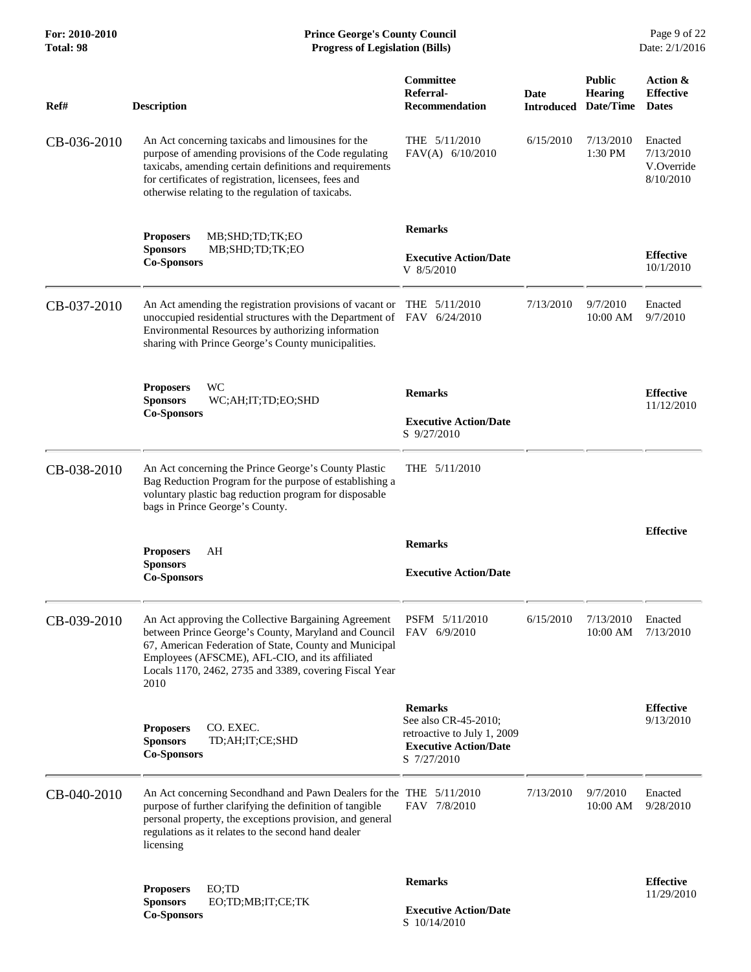| For: 2010-2010<br>Total: 98 | <b>Prince George's County Council</b><br>Date: 2/1/2016<br><b>Progress of Legislation (Bills)</b>                                                                                                                                                                                           |                                                                                                                      |                           |                                              |                                                 |
|-----------------------------|---------------------------------------------------------------------------------------------------------------------------------------------------------------------------------------------------------------------------------------------------------------------------------------------|----------------------------------------------------------------------------------------------------------------------|---------------------------|----------------------------------------------|-------------------------------------------------|
| Ref#                        | <b>Description</b>                                                                                                                                                                                                                                                                          | <b>Committee</b><br>Referral-<br><b>Recommendation</b>                                                               | Date<br><b>Introduced</b> | <b>Public</b><br><b>Hearing</b><br>Date/Time | Action &<br><b>Effective</b><br><b>Dates</b>    |
| CB-036-2010                 | An Act concerning taxicabs and limousines for the<br>purpose of amending provisions of the Code regulating<br>taxicabs, amending certain definitions and requirements<br>for certificates of registration, licensees, fees and<br>otherwise relating to the regulation of taxicabs.         | THE $5/11/2010$<br>FAV(A) 6/10/2010                                                                                  | 6/15/2010                 | 7/13/2010<br>1:30 PM                         | Enacted<br>7/13/2010<br>V.Override<br>8/10/2010 |
|                             | <b>Proposers</b><br>MB;SHD;TD;TK;EO<br><b>Sponsors</b><br>MB;SHD;TD;TK;EO                                                                                                                                                                                                                   | <b>Remarks</b><br><b>Executive Action/Date</b>                                                                       |                           |                                              | <b>Effective</b>                                |
|                             | <b>Co-Sponsors</b>                                                                                                                                                                                                                                                                          | V 8/5/2010                                                                                                           |                           |                                              | 10/1/2010                                       |
| CB-037-2010                 | An Act amending the registration provisions of vacant or THE 5/11/2010<br>unoccupied residential structures with the Department of FAV 6/24/2010<br>Environmental Resources by authorizing information<br>sharing with Prince George's County municipalities.                               |                                                                                                                      | 7/13/2010                 | 9/7/2010<br>10:00 AM                         | Enacted<br>9/7/2010                             |
|                             | <b>Proposers</b><br>WС                                                                                                                                                                                                                                                                      | <b>Remarks</b>                                                                                                       |                           |                                              | <b>Effective</b>                                |
|                             | <b>Sponsors</b><br>WC;AH;IT;TD;EO;SHD<br><b>Co-Sponsors</b>                                                                                                                                                                                                                                 | <b>Executive Action/Date</b><br>S 9/27/2010                                                                          |                           |                                              | 11/12/2010                                      |
| CB-038-2010                 | An Act concerning the Prince George's County Plastic<br>Bag Reduction Program for the purpose of establishing a<br>voluntary plastic bag reduction program for disposable<br>bags in Prince George's County.                                                                                | THE $5/11/2010$                                                                                                      |                           |                                              |                                                 |
|                             | AH<br><b>Proposers</b>                                                                                                                                                                                                                                                                      | <b>Remarks</b>                                                                                                       |                           |                                              | <b>Effective</b>                                |
|                             | <b>Sponsors</b><br><b>Co-Sponsors</b>                                                                                                                                                                                                                                                       | <b>Executive Action/Date</b>                                                                                         |                           |                                              |                                                 |
| CB-039-2010                 | An Act approving the Collective Bargaining Agreement<br>between Prince George's County, Maryland and Council<br>67, American Federation of State, County and Municipal<br>Employees (AFSCME), AFL-CIO, and its affiliated<br>Locals 1170, 2462, 2735 and 3389, covering Fiscal Year<br>2010 | PSFM 5/11/2010<br>FAV 6/9/2010                                                                                       | 6/15/2010                 | 7/13/2010<br>10:00 AM                        | Enacted<br>7/13/2010                            |
|                             | CO. EXEC.<br><b>Proposers</b><br><b>Sponsors</b><br>TD;AH;IT;CE;SHD<br><b>Co-Sponsors</b>                                                                                                                                                                                                   | <b>Remarks</b><br>See also CR-45-2010;<br>retroactive to July 1, 2009<br><b>Executive Action/Date</b><br>S 7/27/2010 |                           |                                              | <b>Effective</b><br>9/13/2010                   |
| CB-040-2010                 | An Act concerning Secondhand and Pawn Dealers for the THE 5/11/2010<br>purpose of further clarifying the definition of tangible<br>personal property, the exceptions provision, and general<br>regulations as it relates to the second hand dealer<br>licensing                             | FAV 7/8/2010                                                                                                         | 7/13/2010                 | 9/7/2010<br>10:00 AM                         | Enacted<br>9/28/2010                            |
|                             | EO:TD<br><b>Proposers</b>                                                                                                                                                                                                                                                                   | <b>Remarks</b>                                                                                                       |                           |                                              | <b>Effective</b><br>11/29/2010                  |
|                             | EO;TD;MB;IT;CE;TK<br><b>Sponsors</b><br><b>Co-Sponsors</b>                                                                                                                                                                                                                                  | <b>Executive Action/Date</b><br>S 10/14/2010                                                                         |                           |                                              |                                                 |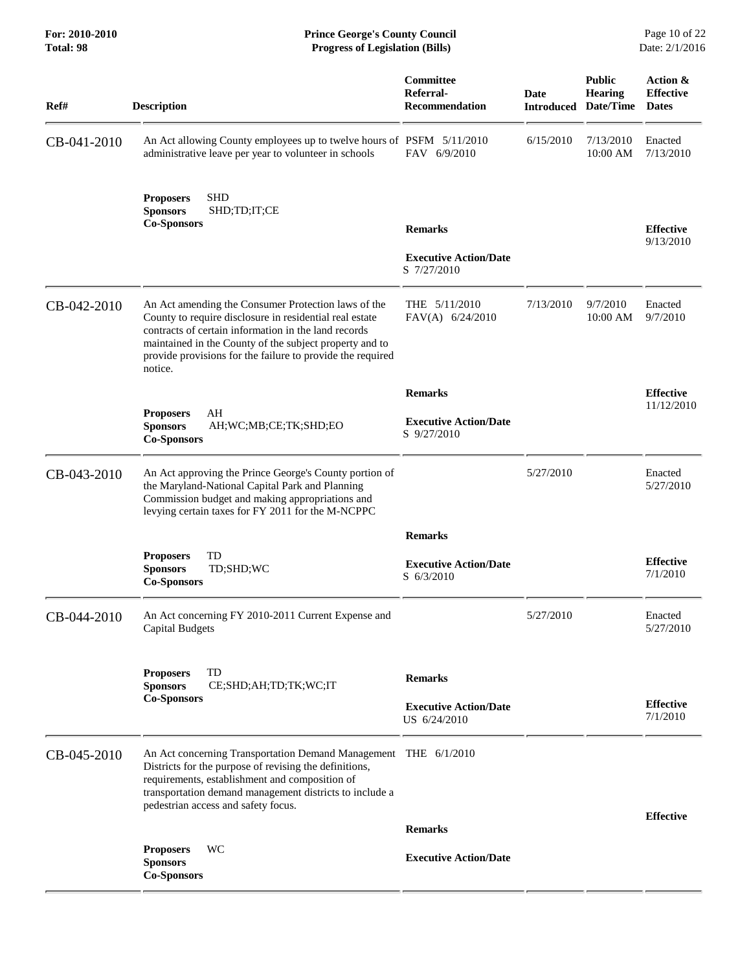**For: 2010-2010 Prince George's County Council** Page 10 of 22<br> **Formal Page 10 of 22**<br> **Prince George's County Council** Page 10 of 22<br> **Progress of Legislation (Bills)** Date: 2/1/2016 **Total: 98 Progress of Legislation (Bills)** 

| Ref#        | <b>Description</b>                                                                                                                                                                                                                                                                                         | Committee<br>Referral-<br><b>Recommendation</b> | <b>Date</b><br><b>Introduced</b> | <b>Public</b><br><b>Hearing</b><br>Date/Time | Action &<br><b>Effective</b><br><b>Dates</b> |
|-------------|------------------------------------------------------------------------------------------------------------------------------------------------------------------------------------------------------------------------------------------------------------------------------------------------------------|-------------------------------------------------|----------------------------------|----------------------------------------------|----------------------------------------------|
| CB-041-2010 | An Act allowing County employees up to twelve hours of PSFM 5/11/2010<br>administrative leave per year to volunteer in schools                                                                                                                                                                             | FAV 6/9/2010                                    | 6/15/2010                        | 7/13/2010<br>10:00 AM                        | Enacted<br>7/13/2010                         |
|             | <b>SHD</b><br><b>Proposers</b><br><b>Sponsors</b><br>SHD;TD;IT;CE<br><b>Co-Sponsors</b>                                                                                                                                                                                                                    | <b>Remarks</b>                                  |                                  |                                              | <b>Effective</b><br>9/13/2010                |
|             |                                                                                                                                                                                                                                                                                                            | <b>Executive Action/Date</b><br>S 7/27/2010     |                                  |                                              |                                              |
| CB-042-2010 | An Act amending the Consumer Protection laws of the<br>County to require disclosure in residential real estate<br>contracts of certain information in the land records<br>maintained in the County of the subject property and to<br>provide provisions for the failure to provide the required<br>notice. | THE $5/11/2010$<br>$FAV(A)$ 6/24/2010           | 7/13/2010                        | 9/7/2010<br>10:00 AM                         | Enacted<br>9/7/2010                          |
|             |                                                                                                                                                                                                                                                                                                            | <b>Remarks</b>                                  |                                  |                                              | <b>Effective</b>                             |
|             | AH<br><b>Proposers</b><br><b>Sponsors</b><br>AH; WC; MB; CE; TK; SHD; EO<br><b>Co-Sponsors</b>                                                                                                                                                                                                             | <b>Executive Action/Date</b><br>S 9/27/2010     |                                  |                                              | 11/12/2010                                   |
| CB-043-2010 | An Act approving the Prince George's County portion of<br>the Maryland-National Capital Park and Planning<br>Commission budget and making appropriations and<br>levying certain taxes for FY 2011 for the M-NCPPC                                                                                          |                                                 | 5/27/2010                        |                                              | Enacted<br>5/27/2010                         |
|             |                                                                                                                                                                                                                                                                                                            | <b>Remarks</b>                                  |                                  |                                              |                                              |
|             | TD<br><b>Proposers</b><br><b>Sponsors</b><br>TD;SHD;WC<br><b>Co-Sponsors</b>                                                                                                                                                                                                                               | <b>Executive Action/Date</b><br>S 6/3/2010      |                                  |                                              | <b>Effective</b><br>7/1/2010                 |
| CB-044-2010 | An Act concerning FY 2010-2011 Current Expense and<br><b>Capital Budgets</b>                                                                                                                                                                                                                               |                                                 | 5/27/2010                        |                                              | Enacted<br>5/27/2010                         |
|             | TD<br><b>Proposers</b><br><b>Sponsors</b><br>CE;SHD;AH;TD;TK;WC;IT                                                                                                                                                                                                                                         | <b>Remarks</b>                                  |                                  |                                              |                                              |
|             | <b>Co-Sponsors</b>                                                                                                                                                                                                                                                                                         | <b>Executive Action/Date</b><br>US 6/24/2010    |                                  |                                              | <b>Effective</b><br>7/1/2010                 |
| CB-045-2010 | An Act concerning Transportation Demand Management THE 6/1/2010<br>Districts for the purpose of revising the definitions,<br>requirements, establishment and composition of<br>transportation demand management districts to include a<br>pedestrian access and safety focus.                              |                                                 |                                  |                                              | <b>Effective</b>                             |
|             |                                                                                                                                                                                                                                                                                                            | <b>Remarks</b>                                  |                                  |                                              |                                              |
|             | WC<br><b>Proposers</b><br><b>Sponsors</b><br><b>Co-Sponsors</b>                                                                                                                                                                                                                                            | <b>Executive Action/Date</b>                    |                                  |                                              |                                              |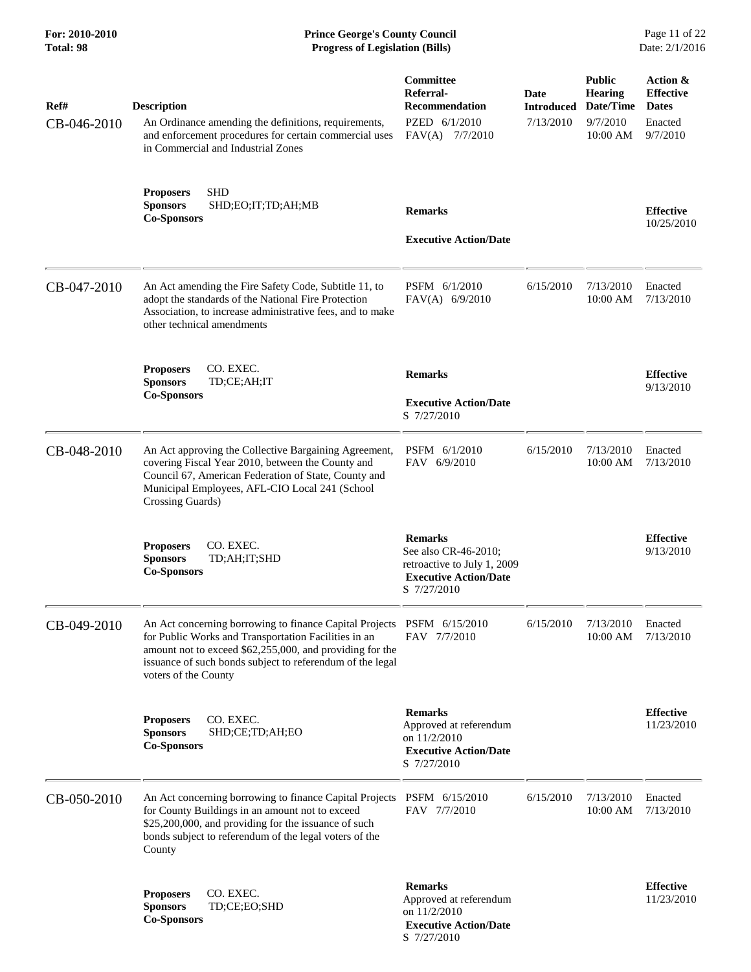| For: 2010-2010<br>Total: 98 | <b>Prince George's County Council</b><br><b>Progress of Legislation (Bills)</b>                                                                                                                                                                                                 |                                                                                                                      |                                        |                                                                      | Page 11 of 22<br>Date: 2/1/2016                                     |
|-----------------------------|---------------------------------------------------------------------------------------------------------------------------------------------------------------------------------------------------------------------------------------------------------------------------------|----------------------------------------------------------------------------------------------------------------------|----------------------------------------|----------------------------------------------------------------------|---------------------------------------------------------------------|
| Ref#<br>CB-046-2010         | <b>Description</b><br>An Ordinance amending the definitions, requirements,<br>and enforcement procedures for certain commercial uses<br>in Commercial and Industrial Zones                                                                                                      | Committee<br>Referral-<br><b>Recommendation</b><br>PZED 6/1/2010<br>$FAV(A)$ 7/7/2010                                | Date<br><b>Introduced</b><br>7/13/2010 | <b>Public</b><br><b>Hearing</b><br>Date/Time<br>9/7/2010<br>10:00 AM | Action &<br><b>Effective</b><br><b>Dates</b><br>Enacted<br>9/7/2010 |
|                             | <b>SHD</b><br><b>Proposers</b><br><b>Sponsors</b><br>SHD;EO;IT;TD;AH;MB<br><b>Co-Sponsors</b>                                                                                                                                                                                   | <b>Remarks</b><br><b>Executive Action/Date</b>                                                                       |                                        |                                                                      | <b>Effective</b><br>10/25/2010                                      |
| CB-047-2010                 | An Act amending the Fire Safety Code, Subtitle 11, to<br>adopt the standards of the National Fire Protection<br>Association, to increase administrative fees, and to make<br>other technical amendments                                                                         | PSFM 6/1/2010<br>FAV(A) 6/9/2010                                                                                     | 6/15/2010                              | 7/13/2010<br>10:00 AM                                                | Enacted<br>7/13/2010                                                |
|                             | CO. EXEC.<br><b>Proposers</b><br><b>Sponsors</b><br>TD;CE;AH;IT<br><b>Co-Sponsors</b>                                                                                                                                                                                           | <b>Remarks</b><br><b>Executive Action/Date</b><br>S 7/27/2010                                                        |                                        |                                                                      | <b>Effective</b><br>9/13/2010                                       |
| CB-048-2010                 | An Act approving the Collective Bargaining Agreement,<br>covering Fiscal Year 2010, between the County and<br>Council 67, American Federation of State, County and<br>Municipal Employees, AFL-CIO Local 241 (School<br>Crossing Guards)                                        | PSFM 6/1/2010<br>FAV 6/9/2010                                                                                        | 6/15/2010                              | 7/13/2010<br>10:00 AM                                                | Enacted<br>7/13/2010                                                |
|                             | CO. EXEC.<br><b>Proposers</b><br><b>Sponsors</b><br>TD;AH;IT;SHD<br><b>Co-Sponsors</b>                                                                                                                                                                                          | <b>Remarks</b><br>See also CR-46-2010;<br>retroactive to July 1, 2009<br><b>Executive Action/Date</b><br>S 7/27/2010 |                                        |                                                                      | <b>Effective</b><br>9/13/2010                                       |
| CB-049-2010                 | An Act concerning borrowing to finance Capital Projects PSFM 6/15/2010<br>for Public Works and Transportation Facilities in an<br>amount not to exceed \$62,255,000, and providing for the<br>issuance of such bonds subject to referendum of the legal<br>voters of the County | FAV 7/7/2010                                                                                                         | 6/15/2010                              | 7/13/2010<br>10:00 AM                                                | Enacted<br>7/13/2010                                                |
|                             | CO. EXEC.<br><b>Proposers</b><br><b>Sponsors</b><br>SHD;CE;TD;AH;EO<br><b>Co-Sponsors</b>                                                                                                                                                                                       | <b>Remarks</b><br>Approved at referendum<br>on 11/2/2010<br><b>Executive Action/Date</b><br>S 7/27/2010              |                                        |                                                                      | <b>Effective</b><br>11/23/2010                                      |
| CB-050-2010                 | An Act concerning borrowing to finance Capital Projects<br>for County Buildings in an amount not to exceed<br>\$25,200,000, and providing for the issuance of such<br>bonds subject to referendum of the legal voters of the<br>County                                          | PSFM 6/15/2010<br>FAV 7/7/2010                                                                                       | 6/15/2010                              | 7/13/2010<br>10:00 AM                                                | Enacted<br>7/13/2010                                                |
|                             | CO. EXEC.<br><b>Proposers</b><br><b>Sponsors</b><br>TD;CE;EO;SHD<br><b>Co-Sponsors</b>                                                                                                                                                                                          | <b>Remarks</b><br>Approved at referendum<br>on 11/2/2010<br><b>Executive Action/Date</b><br>S 7/27/2010              |                                        |                                                                      | <b>Effective</b><br>11/23/2010                                      |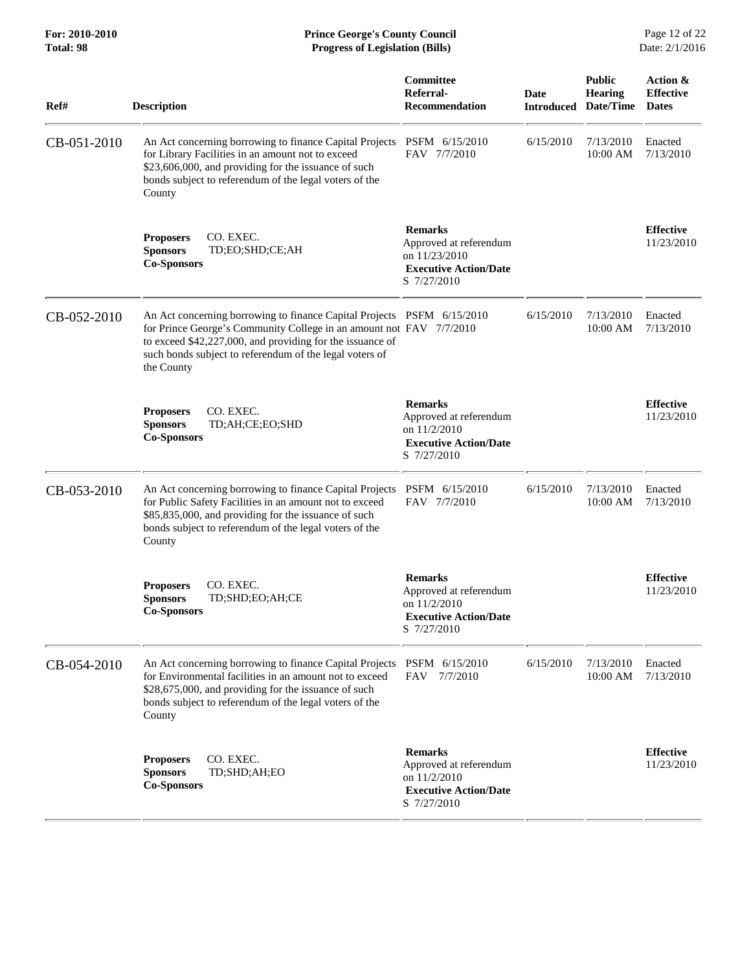**For: 2010-2010 Prince George's County Council** Page 12 of 22<br> **Prince George's County Council** Page 12 of 22<br> **Progress of Legislation (Bills)** Date: 2/1/2016 **Total: 98 Progress of Legislation (Bills)** 

| Ref#        | <b>Description</b>                                                                                                                                                                                                                                                                  | Committee<br>Referral-<br><b>Recommendation</b>                                                          | Date<br><b>Introduced</b> | <b>Public</b><br><b>Hearing</b><br>Date/Time | Action &<br><b>Effective</b><br><b>Dates</b> |
|-------------|-------------------------------------------------------------------------------------------------------------------------------------------------------------------------------------------------------------------------------------------------------------------------------------|----------------------------------------------------------------------------------------------------------|---------------------------|----------------------------------------------|----------------------------------------------|
| CB-051-2010 | An Act concerning borrowing to finance Capital Projects<br>for Library Facilities in an amount not to exceed<br>\$23,606,000, and providing for the issuance of such<br>bonds subject to referendum of the legal voters of the<br>County                                            | PSFM 6/15/2010<br>FAV 7/7/2010                                                                           | 6/15/2010                 | 7/13/2010<br>10:00 AM                        | Enacted<br>7/13/2010                         |
|             | CO. EXEC.<br><b>Proposers</b><br><b>Sponsors</b><br>TD;EO;SHD;CE;AH<br><b>Co-Sponsors</b>                                                                                                                                                                                           | <b>Remarks</b><br>Approved at referendum<br>on 11/23/2010<br><b>Executive Action/Date</b><br>S 7/27/2010 |                           |                                              | <b>Effective</b><br>11/23/2010               |
| CB-052-2010 | An Act concerning borrowing to finance Capital Projects PSFM 6/15/2010<br>for Prince George's Community College in an amount not FAV 7/7/2010<br>to exceed \$42,227,000, and providing for the issuance of<br>such bonds subject to referendum of the legal voters of<br>the County |                                                                                                          | 6/15/2010                 | 7/13/2010<br>10:00 AM                        | Enacted<br>7/13/2010                         |
|             | CO. EXEC.<br><b>Proposers</b><br><b>Sponsors</b><br>TD;AH;CE;EO;SHD<br><b>Co-Sponsors</b>                                                                                                                                                                                           | <b>Remarks</b><br>Approved at referendum<br>on 11/2/2010<br><b>Executive Action/Date</b><br>S 7/27/2010  |                           |                                              | <b>Effective</b><br>11/23/2010               |
| CB-053-2010 | An Act concerning borrowing to finance Capital Projects PSFM 6/15/2010<br>for Public Safety Facilities in an amount not to exceed<br>\$85,835,000, and providing for the issuance of such<br>bonds subject to referendum of the legal voters of the<br>County                       | FAV 7/7/2010                                                                                             | 6/15/2010                 | 7/13/2010<br>10:00 AM                        | Enacted<br>7/13/2010                         |
|             | CO. EXEC.<br><b>Proposers</b><br><b>Sponsors</b><br>TD;SHD;EO;AH;CE<br><b>Co-Sponsors</b>                                                                                                                                                                                           | <b>Remarks</b><br>Approved at referendum<br>on 11/2/2010<br><b>Executive Action/Date</b><br>S 7/27/2010  |                           |                                              | <b>Effective</b><br>11/23/2010               |
| CB-054-2010 | An Act concerning borrowing to finance Capital Projects<br>for Environmental facilities in an amount not to exceed<br>\$28,675,000, and providing for the issuance of such<br>bonds subject to referendum of the legal voters of the<br>County                                      | PSFM 6/15/2010<br>FAV 7/7/2010                                                                           | 6/15/2010                 | 7/13/2010<br>10:00 AM                        | Enacted<br>7/13/2010                         |
|             | CO. EXEC.<br><b>Proposers</b><br><b>Sponsors</b><br>TD;SHD;AH;EO<br><b>Co-Sponsors</b>                                                                                                                                                                                              | <b>Remarks</b><br>Approved at referendum<br>on 11/2/2010<br><b>Executive Action/Date</b><br>S 7/27/2010  |                           |                                              | <b>Effective</b><br>11/23/2010               |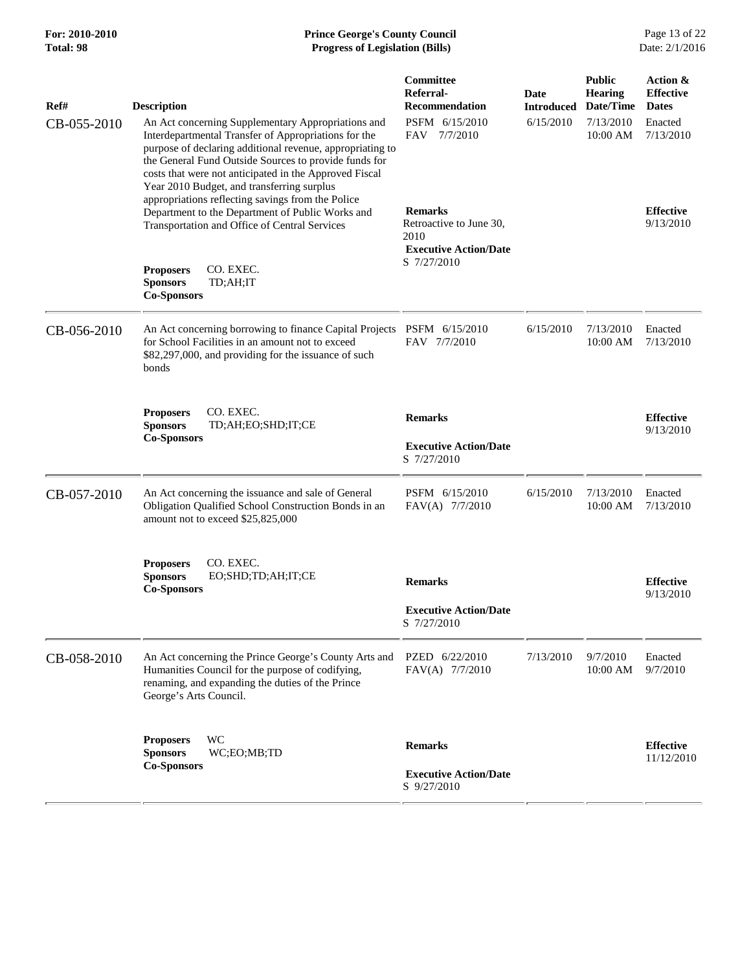| Ref#        | <b>Description</b>                                                                                                                                                                                                                                                                                                                       | Committee<br>Referral-<br><b>Recommendation</b>                                   | Date<br><b>Introduced</b> | <b>Public</b><br><b>Hearing</b><br>Date/Time | Action &<br><b>Effective</b><br><b>Dates</b> |
|-------------|------------------------------------------------------------------------------------------------------------------------------------------------------------------------------------------------------------------------------------------------------------------------------------------------------------------------------------------|-----------------------------------------------------------------------------------|---------------------------|----------------------------------------------|----------------------------------------------|
| CB-055-2010 | An Act concerning Supplementary Appropriations and<br>Interdepartmental Transfer of Appropriations for the<br>purpose of declaring additional revenue, appropriating to<br>the General Fund Outside Sources to provide funds for<br>costs that were not anticipated in the Approved Fiscal<br>Year 2010 Budget, and transferring surplus | PSFM 6/15/2010<br>FAV 7/7/2010                                                    | 6/15/2010                 | 7/13/2010<br>10:00 AM                        | Enacted<br>7/13/2010                         |
|             | appropriations reflecting savings from the Police<br>Department to the Department of Public Works and<br>Transportation and Office of Central Services                                                                                                                                                                                   | <b>Remarks</b><br>Retroactive to June 30,<br>2010<br><b>Executive Action/Date</b> |                           |                                              | <b>Effective</b><br>9/13/2010                |
|             | <b>Proposers</b><br>CO. EXEC.<br><b>Sponsors</b><br>TD;AH;IT<br><b>Co-Sponsors</b>                                                                                                                                                                                                                                                       | S 7/27/2010                                                                       |                           |                                              |                                              |
| CB-056-2010 | An Act concerning borrowing to finance Capital Projects PSFM 6/15/2010<br>for School Facilities in an amount not to exceed<br>\$82,297,000, and providing for the issuance of such<br>bonds                                                                                                                                              | FAV 7/7/2010                                                                      | 6/15/2010                 | 7/13/2010<br>10:00 AM                        | Enacted<br>7/13/2010                         |
|             | CO. EXEC.<br><b>Proposers</b><br><b>Sponsors</b><br>TD;AH;EO;SHD;IT;CE                                                                                                                                                                                                                                                                   | <b>Remarks</b>                                                                    |                           |                                              | <b>Effective</b>                             |
|             | <b>Co-Sponsors</b>                                                                                                                                                                                                                                                                                                                       | <b>Executive Action/Date</b><br>S 7/27/2010                                       |                           |                                              | 9/13/2010                                    |
| CB-057-2010 | An Act concerning the issuance and sale of General<br>Obligation Qualified School Construction Bonds in an<br>amount not to exceed \$25,825,000                                                                                                                                                                                          | PSFM 6/15/2010<br>FAV(A) 7/7/2010                                                 | 6/15/2010                 | 7/13/2010<br>10:00 AM                        | Enacted<br>7/13/2010                         |
|             | CO. EXEC.<br><b>Proposers</b><br><b>Sponsors</b><br>EO;SHD;TD;AH;IT;CE<br><b>Co-Sponsors</b>                                                                                                                                                                                                                                             | <b>Remarks</b>                                                                    |                           |                                              | <b>Effective</b><br>9/13/2010                |
|             |                                                                                                                                                                                                                                                                                                                                          | <b>Executive Action/Date</b><br>S 7/27/2010                                       |                           |                                              |                                              |
| CB-058-2010 | An Act concerning the Prince George's County Arts and<br>Humanities Council for the purpose of codifying,<br>renaming, and expanding the duties of the Prince<br>George's Arts Council.                                                                                                                                                  | PZED 6/22/2010<br>FAV(A) 7/7/2010                                                 | 7/13/2010                 | 9/7/2010<br>10:00 AM                         | Enacted<br>9/7/2010                          |
|             | <b>WC</b><br><b>Proposers</b><br><b>Sponsors</b><br>WC;EO;MB;TD<br><b>Co-Sponsors</b>                                                                                                                                                                                                                                                    | <b>Remarks</b><br><b>Executive Action/Date</b><br>S 9/27/2010                     |                           |                                              | <b>Effective</b><br>11/12/2010               |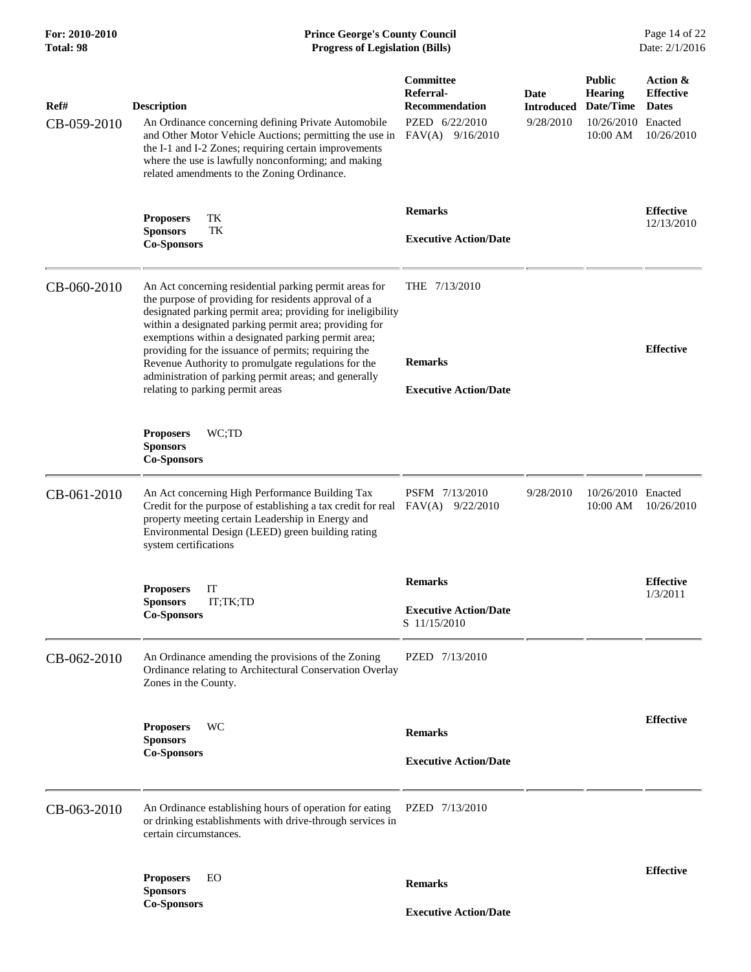## **For: 2010-2010 Prince George's County Council** Page 14 of 22<br> **Prince George's County Council** Page 14 of 22<br> **Progress of Legislation (Bills)** Date: 2/1/2016 **Total: 98 Progress of Legislation (Bills)**

| Ref#<br>CB-059-2010 | <b>Description</b><br>An Ordinance concerning defining Private Automobile<br>and Other Motor Vehicle Auctions; permitting the use in<br>the I-1 and I-2 Zones; requiring certain improvements<br>where the use is lawfully nonconforming; and making<br>related amendments to the Zoning Ordinance.                                                                                                                                                                                                        | <b>Committee</b><br>Referral-<br><b>Recommendation</b><br>PZED 6/22/2010<br>$FAV(A)$ 9/16/2010 | Date<br><b>Introduced</b><br>9/28/2010 | <b>Public</b><br><b>Hearing</b><br>Date/Time<br>10/26/2010 Enacted<br>10:00 AM | Action &<br><b>Effective</b><br><b>Dates</b><br>10/26/2010 |
|---------------------|------------------------------------------------------------------------------------------------------------------------------------------------------------------------------------------------------------------------------------------------------------------------------------------------------------------------------------------------------------------------------------------------------------------------------------------------------------------------------------------------------------|------------------------------------------------------------------------------------------------|----------------------------------------|--------------------------------------------------------------------------------|------------------------------------------------------------|
|                     | <b>Proposers</b><br>TK<br>TK<br><b>Sponsors</b><br><b>Co-Sponsors</b>                                                                                                                                                                                                                                                                                                                                                                                                                                      | <b>Remarks</b><br><b>Executive Action/Date</b>                                                 |                                        |                                                                                | <b>Effective</b><br>12/13/2010                             |
| CB-060-2010         | An Act concerning residential parking permit areas for<br>the purpose of providing for residents approval of a<br>designated parking permit area; providing for ineligibility<br>within a designated parking permit area; providing for<br>exemptions within a designated parking permit area;<br>providing for the issuance of permits; requiring the<br>Revenue Authority to promulgate regulations for the<br>administration of parking permit areas; and generally<br>relating to parking permit areas | THE 7/13/2010<br><b>Remarks</b><br><b>Executive Action/Date</b>                                |                                        |                                                                                | <b>Effective</b>                                           |
|                     | WC;TD<br><b>Proposers</b><br><b>Sponsors</b><br><b>Co-Sponsors</b>                                                                                                                                                                                                                                                                                                                                                                                                                                         |                                                                                                |                                        |                                                                                |                                                            |
| CB-061-2010         | An Act concerning High Performance Building Tax<br>Credit for the purpose of establishing a tax credit for real<br>property meeting certain Leadership in Energy and<br>Environmental Design (LEED) green building rating<br>system certifications                                                                                                                                                                                                                                                         | PSFM 7/13/2010<br>FAV(A)<br>9/22/2010                                                          | 9/28/2010                              | 10/26/2010 Enacted<br>10:00 AM                                                 | 10/26/2010                                                 |
|                     | IT<br><b>Proposers</b><br><b>Sponsors</b><br>IT;TK;TD<br><b>Co-Sponsors</b>                                                                                                                                                                                                                                                                                                                                                                                                                                | <b>Remarks</b><br><b>Executive Action/Date</b><br>S 11/15/2010                                 |                                        |                                                                                | <b>Effective</b><br>1/3/2011                               |
| CB-062-2010         | An Ordinance amending the provisions of the Zoning<br>Ordinance relating to Architectural Conservation Overlay<br>Zones in the County.                                                                                                                                                                                                                                                                                                                                                                     | PZED 7/13/2010                                                                                 |                                        |                                                                                |                                                            |
|                     | <b>Proposers</b><br>WC<br><b>Sponsors</b><br><b>Co-Sponsors</b>                                                                                                                                                                                                                                                                                                                                                                                                                                            | <b>Remarks</b><br><b>Executive Action/Date</b>                                                 |                                        |                                                                                | <b>Effective</b>                                           |
| CB-063-2010         | An Ordinance establishing hours of operation for eating<br>or drinking establishments with drive-through services in<br>certain circumstances.                                                                                                                                                                                                                                                                                                                                                             | PZED 7/13/2010                                                                                 |                                        |                                                                                |                                                            |
|                     | <b>Proposers</b><br>EО<br><b>Sponsors</b><br><b>Co-Sponsors</b>                                                                                                                                                                                                                                                                                                                                                                                                                                            | <b>Remarks</b><br><b>Executive Action/Date</b>                                                 |                                        |                                                                                | <b>Effective</b>                                           |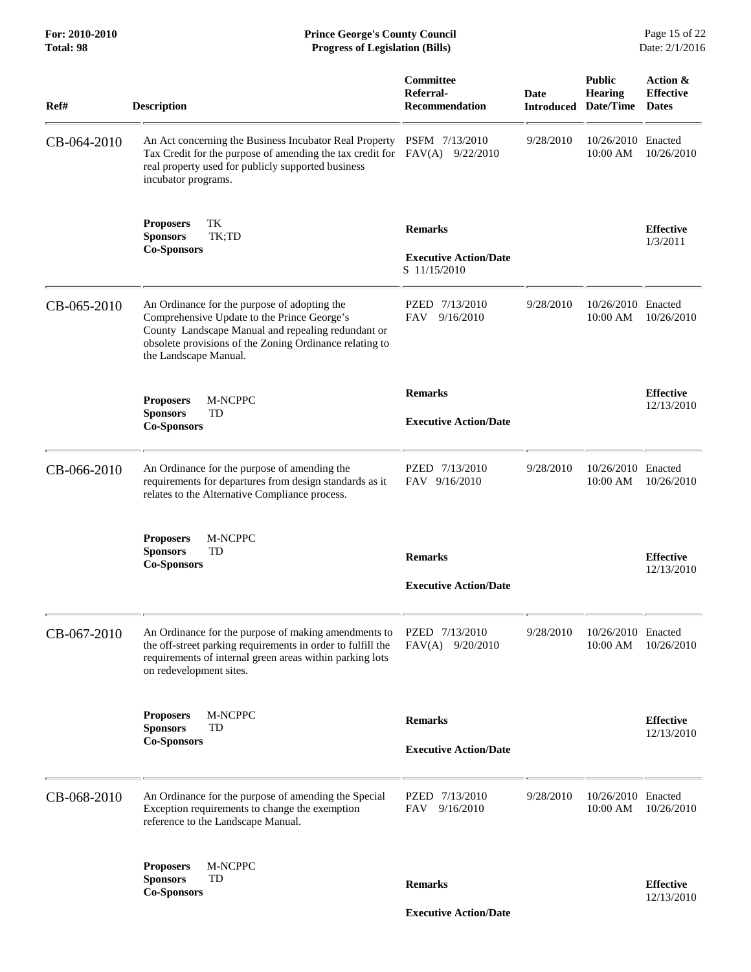| Ref#        | <b>Description</b>                                                                                                                                                                                                                    | Committee<br>Referral-<br><b>Recommendation</b>                | <b>Date</b> | <b>Public</b><br><b>Hearing</b><br><b>Introduced Date/Time</b> | Action &<br><b>Effective</b><br><b>Dates</b> |
|-------------|---------------------------------------------------------------------------------------------------------------------------------------------------------------------------------------------------------------------------------------|----------------------------------------------------------------|-------------|----------------------------------------------------------------|----------------------------------------------|
| CB-064-2010 | An Act concerning the Business Incubator Real Property<br>Tax Credit for the purpose of amending the tax credit for FAV(A) 9/22/2010<br>real property used for publicly supported business<br>incubator programs.                     | PSFM 7/13/2010                                                 | 9/28/2010   | 10/26/2010 Enacted<br>10:00 AM                                 | 10/26/2010                                   |
|             | TК<br><b>Proposers</b><br><b>Sponsors</b><br>TK;TD<br><b>Co-Sponsors</b>                                                                                                                                                              | <b>Remarks</b><br><b>Executive Action/Date</b><br>S 11/15/2010 |             |                                                                | <b>Effective</b><br>1/3/2011                 |
| CB-065-2010 | An Ordinance for the purpose of adopting the<br>Comprehensive Update to the Prince George's<br>County Landscape Manual and repealing redundant or<br>obsolete provisions of the Zoning Ordinance relating to<br>the Landscape Manual. | PZED 7/13/2010<br>FAV<br>9/16/2010                             | 9/28/2010   | 10/26/2010 Enacted<br>$10:00$ AM                               | 10/26/2010                                   |
|             | M-NCPPC<br><b>Proposers</b><br><b>Sponsors</b><br>TD<br><b>Co-Sponsors</b>                                                                                                                                                            | <b>Remarks</b><br><b>Executive Action/Date</b>                 |             |                                                                | <b>Effective</b><br>12/13/2010               |
| CB-066-2010 | An Ordinance for the purpose of amending the<br>requirements for departures from design standards as it<br>relates to the Alternative Compliance process.                                                                             | PZED 7/13/2010<br>FAV 9/16/2010                                | 9/28/2010   | 10/26/2010 Enacted<br>10:00 AM                                 | 10/26/2010                                   |
|             | M-NCPPC<br><b>Proposers</b><br><b>Sponsors</b><br>TD<br><b>Co-Sponsors</b>                                                                                                                                                            | <b>Remarks</b><br><b>Executive Action/Date</b>                 |             |                                                                | <b>Effective</b><br>12/13/2010               |
| CB-067-2010 | An Ordinance for the purpose of making amendments to<br>the off-street parking requirements in order to fulfill the<br>requirements of internal green areas within parking lots<br>on redevelopment sites.                            | PZED 7/13/2010<br>$FAV(A)$ 9/20/2010                           | 9/28/2010   | 10/26/2010 Enacted<br>10:00 AM                                 | 10/26/2010                                   |
|             | <b>Proposers</b><br>M-NCPPC<br><b>Sponsors</b><br>TD<br><b>Co-Sponsors</b>                                                                                                                                                            | <b>Remarks</b><br><b>Executive Action/Date</b>                 |             |                                                                | <b>Effective</b><br>12/13/2010               |
| CB-068-2010 | An Ordinance for the purpose of amending the Special<br>Exception requirements to change the exemption<br>reference to the Landscape Manual.                                                                                          | PZED 7/13/2010<br>FAV<br>9/16/2010                             | 9/28/2010   | 10/26/2010 Enacted<br>10:00 AM                                 | 10/26/2010                                   |
|             | M-NCPPC<br><b>Proposers</b><br><b>Sponsors</b><br>TD<br><b>Co-Sponsors</b>                                                                                                                                                            | <b>Remarks</b>                                                 |             |                                                                | <b>Effective</b><br>12/13/2010               |
|             |                                                                                                                                                                                                                                       | <b>Executive Action/Date</b>                                   |             |                                                                |                                              |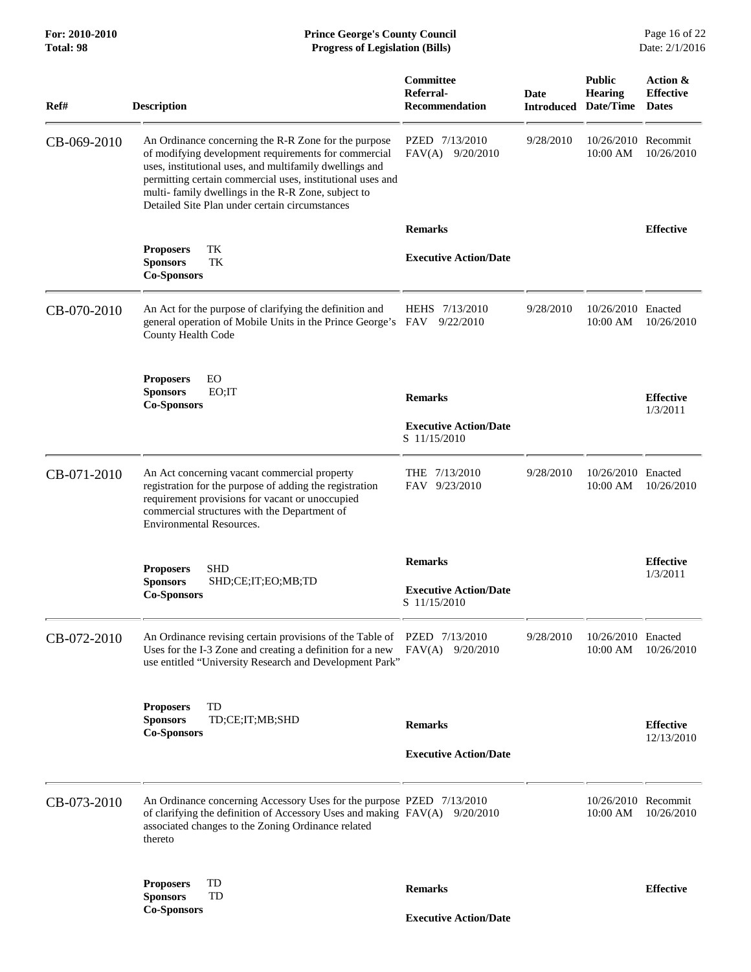| Ref#        | <b>Description</b>                                                                                                                                                                                                                                                                                                                            | Committee<br>Referral-<br><b>Recommendation</b> | Date      | <b>Public</b><br><b>Hearing</b><br><b>Introduced Date/Time</b> | Action &<br><b>Effective</b><br><b>Dates</b> |
|-------------|-----------------------------------------------------------------------------------------------------------------------------------------------------------------------------------------------------------------------------------------------------------------------------------------------------------------------------------------------|-------------------------------------------------|-----------|----------------------------------------------------------------|----------------------------------------------|
| CB-069-2010 | An Ordinance concerning the R-R Zone for the purpose<br>of modifying development requirements for commercial<br>uses, institutional uses, and multifamily dwellings and<br>permitting certain commercial uses, institutional uses and<br>multi-family dwellings in the R-R Zone, subject to<br>Detailed Site Plan under certain circumstances | PZED 7/13/2010<br>$FAV(A)$ 9/20/2010            | 9/28/2010 | 10/26/2010 Recommit<br>10:00 AM                                | 10/26/2010                                   |
|             |                                                                                                                                                                                                                                                                                                                                               | <b>Remarks</b>                                  |           |                                                                | <b>Effective</b>                             |
|             | TK<br><b>Proposers</b><br><b>Sponsors</b><br>TK<br><b>Co-Sponsors</b>                                                                                                                                                                                                                                                                         | <b>Executive Action/Date</b>                    |           |                                                                |                                              |
| CB-070-2010 | An Act for the purpose of clarifying the definition and<br>general operation of Mobile Units in the Prince George's FAV<br>County Health Code                                                                                                                                                                                                 | HEHS 7/13/2010<br>9/22/2010                     | 9/28/2010 | 10/26/2010 Enacted<br>10:00 AM                                 | 10/26/2010                                   |
|             | EO<br><b>Proposers</b><br><b>Sponsors</b><br>EO;IT                                                                                                                                                                                                                                                                                            |                                                 |           |                                                                |                                              |
|             | <b>Co-Sponsors</b>                                                                                                                                                                                                                                                                                                                            | <b>Remarks</b>                                  |           |                                                                | <b>Effective</b><br>1/3/2011                 |
|             |                                                                                                                                                                                                                                                                                                                                               | <b>Executive Action/Date</b><br>S 11/15/2010    |           |                                                                |                                              |
| CB-071-2010 | An Act concerning vacant commercial property<br>registration for the purpose of adding the registration<br>requirement provisions for vacant or unoccupied<br>commercial structures with the Department of<br><b>Environmental Resources.</b>                                                                                                 | THE 7/13/2010<br>FAV 9/23/2010                  | 9/28/2010 | 10/26/2010 Enacted<br>10:00 AM                                 | 10/26/2010                                   |
|             |                                                                                                                                                                                                                                                                                                                                               | <b>Remarks</b>                                  |           |                                                                | <b>Effective</b>                             |
|             | <b>SHD</b><br><b>Proposers</b><br><b>Sponsors</b><br>SHD;CE;IT;EO;MB;TD<br><b>Co-Sponsors</b>                                                                                                                                                                                                                                                 | <b>Executive Action/Date</b><br>S 11/15/2010    |           |                                                                | 1/3/2011                                     |
| CB-072-2010 | An Ordinance revising certain provisions of the Table of PZED 7/13/2010<br>Uses for the I-3 Zone and creating a definition for a new $FAV(A)$ 9/20/2010<br>use entitled "University Research and Development Park"                                                                                                                            |                                                 | 9/28/2010 | 10/26/2010 Enacted<br>$10:00$ AM                               | 10/26/2010                                   |
|             | TD<br><b>Proposers</b><br><b>Sponsors</b><br>TD;CE;IT;MB;SHD                                                                                                                                                                                                                                                                                  |                                                 |           |                                                                |                                              |
|             | <b>Co-Sponsors</b>                                                                                                                                                                                                                                                                                                                            | <b>Remarks</b>                                  |           |                                                                | <b>Effective</b><br>12/13/2010               |
|             |                                                                                                                                                                                                                                                                                                                                               | <b>Executive Action/Date</b>                    |           |                                                                |                                              |
| CB-073-2010 | An Ordinance concerning Accessory Uses for the purpose PZED 7/13/2010<br>of clarifying the definition of Accessory Uses and making FAV(A) 9/20/2010<br>associated changes to the Zoning Ordinance related<br>thereto                                                                                                                          |                                                 |           | 10/26/2010 Recommit<br>10:00 AM                                | 10/26/2010                                   |
|             | TD<br><b>Proposers</b><br><b>Sponsors</b><br>TD                                                                                                                                                                                                                                                                                               | <b>Remarks</b>                                  |           |                                                                | <b>Effective</b>                             |
|             | <b>Co-Sponsors</b>                                                                                                                                                                                                                                                                                                                            | <b>Executive Action/Date</b>                    |           |                                                                |                                              |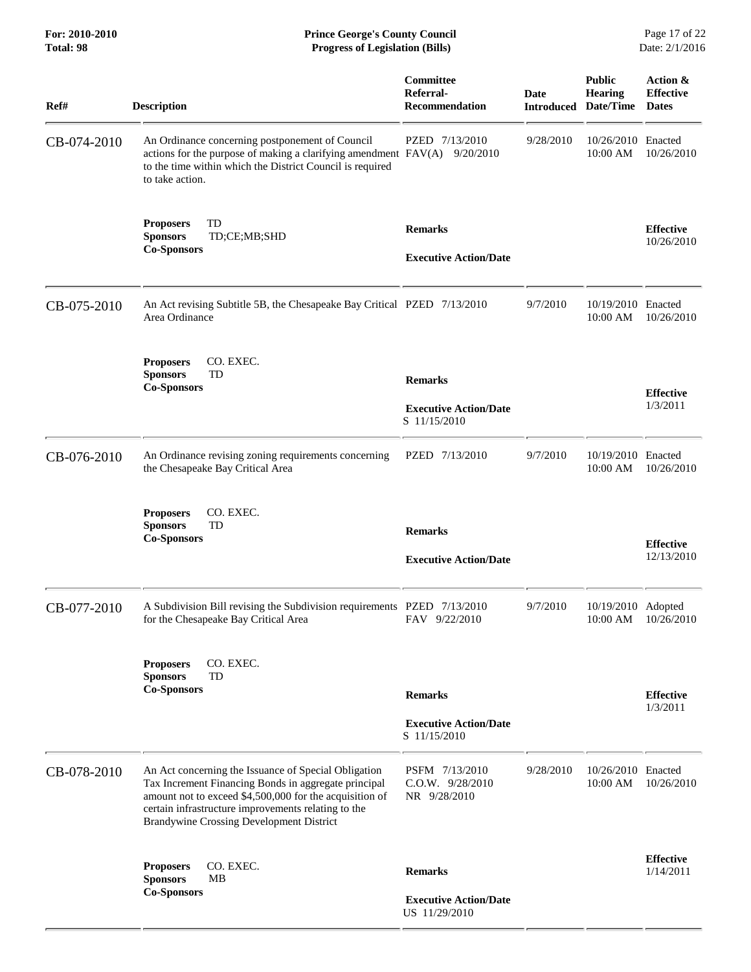**For: 2010-2010 Prince George's County Council** Page 17 of 22<br> **Formal Page 17 of 22**<br> **Prince George's County Council** Page 17 of 22<br> **Progress of Legislation (Bills)** Date: 2/1/2016 **Total: 98 Progress of Legislation (Bills)** 

| Ref#        | <b>Description</b>                                                                                                                                                                                                                                                         | Committee<br>Referral-<br><b>Recommendation</b>                 | <b>Date</b> | <b>Public</b><br><b>Hearing</b><br><b>Introduced Date/Time</b> | Action &<br><b>Effective</b><br><b>Dates</b> |
|-------------|----------------------------------------------------------------------------------------------------------------------------------------------------------------------------------------------------------------------------------------------------------------------------|-----------------------------------------------------------------|-------------|----------------------------------------------------------------|----------------------------------------------|
| CB-074-2010 | An Ordinance concerning postponement of Council<br>actions for the purpose of making a clarifying amendment FAV(A) 9/20/2010<br>to the time within which the District Council is required<br>to take action.                                                               | PZED 7/13/2010                                                  | 9/28/2010   | 10/26/2010<br>10:00 AM                                         | Enacted<br>10/26/2010                        |
|             | TD<br><b>Proposers</b><br><b>Sponsors</b><br>TD;CE;MB;SHD<br><b>Co-Sponsors</b>                                                                                                                                                                                            | <b>Remarks</b><br><b>Executive Action/Date</b>                  |             |                                                                | <b>Effective</b><br>10/26/2010               |
| CB-075-2010 | An Act revising Subtitle 5B, the Chesapeake Bay Critical PZED 7/13/2010<br>Area Ordinance                                                                                                                                                                                  |                                                                 | 9/7/2010    | 10/19/2010 Enacted<br>10:00 AM                                 | 10/26/2010                                   |
|             | CO. EXEC.<br><b>Proposers</b><br>TD<br><b>Sponsors</b><br><b>Co-Sponsors</b>                                                                                                                                                                                               | <b>Remarks</b><br><b>Executive Action/Date</b><br>S 11/15/2010  |             |                                                                | <b>Effective</b><br>1/3/2011                 |
| CB-076-2010 | An Ordinance revising zoning requirements concerning<br>the Chesapeake Bay Critical Area                                                                                                                                                                                   | PZED 7/13/2010                                                  | 9/7/2010    | 10/19/2010 Enacted<br>10:00 AM                                 | 10/26/2010                                   |
|             | CO. EXEC.<br><b>Proposers</b><br><b>Sponsors</b><br>TD<br><b>Co-Sponsors</b>                                                                                                                                                                                               | <b>Remarks</b><br><b>Executive Action/Date</b>                  |             |                                                                | <b>Effective</b><br>12/13/2010               |
| CB-077-2010 | A Subdivision Bill revising the Subdivision requirements PZED 7/13/2010<br>for the Chesapeake Bay Critical Area                                                                                                                                                            | FAV 9/22/2010                                                   | 9/7/2010    | 10/19/2010 Adopted<br>10:00 AM                                 | 10/26/2010                                   |
|             | CO. EXEC.<br><b>Proposers</b><br>TD<br><b>Sponsors</b><br><b>Co-Sponsors</b>                                                                                                                                                                                               | <b>Remarks</b><br><b>Executive Action/Date</b><br>S 11/15/2010  |             |                                                                | <b>Effective</b><br>1/3/2011                 |
| CB-078-2010 | An Act concerning the Issuance of Special Obligation<br>Tax Increment Financing Bonds in aggregate principal<br>amount not to exceed \$4,500,000 for the acquisition of<br>certain infrastructure improvements relating to the<br>Brandywine Crossing Development District | PSFM 7/13/2010<br>C.O.W. 9/28/2010<br>NR 9/28/2010              | 9/28/2010   | 10/26/2010 Enacted<br>10:00 AM                                 | 10/26/2010                                   |
|             | CO. EXEC.<br><b>Proposers</b><br><b>MB</b><br><b>Sponsors</b><br><b>Co-Sponsors</b>                                                                                                                                                                                        | <b>Remarks</b><br><b>Executive Action/Date</b><br>US 11/29/2010 |             |                                                                | <b>Effective</b><br>1/14/2011                |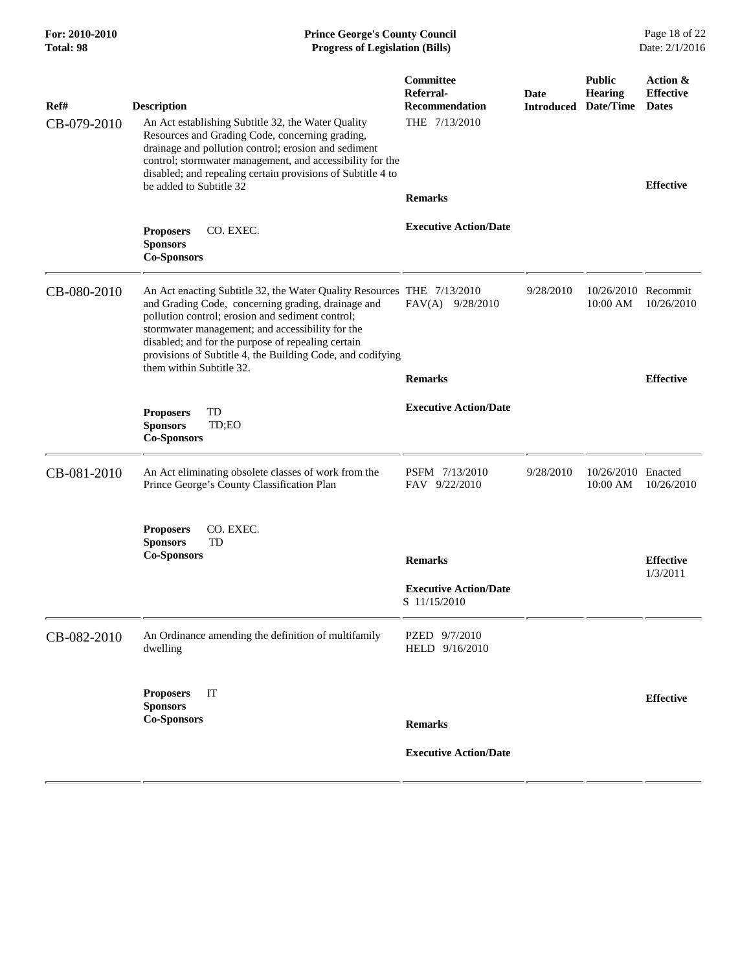| <b>Description</b><br>An Act establishing Subtitle 32, the Water Quality<br>Resources and Grading Code, concerning grading,<br>drainage and pollution control; erosion and sediment<br>control; stormwater management, and accessibility for the | <b>Committee</b><br>Referral-<br>Recommendation<br>THE 7/13/2010                  | Date<br><b>Introduced</b>                                                                                                            | <b>Public</b><br><b>Hearing</b><br>Date/Time | Action &<br><b>Effective</b><br><b>Dates</b> |
|--------------------------------------------------------------------------------------------------------------------------------------------------------------------------------------------------------------------------------------------------|-----------------------------------------------------------------------------------|--------------------------------------------------------------------------------------------------------------------------------------|----------------------------------------------|----------------------------------------------|
| be added to Subtitle 32<br>CO. EXEC.<br><b>Proposers</b><br><b>Sponsors</b>                                                                                                                                                                      | <b>Remarks</b><br><b>Executive Action/Date</b>                                    |                                                                                                                                      |                                              | <b>Effective</b>                             |
| and Grading Code, concerning grading, drainage and<br>pollution control; erosion and sediment control;<br>stormwater management; and accessibility for the<br>disabled; and for the purpose of repealing certain<br>them within Subtitle 32.     | $FAV(A)$ 9/28/2010<br><b>Remarks</b>                                              | 9/28/2010                                                                                                                            | 10:00 AM                                     | 10/26/2010<br><b>Effective</b>               |
| TD<br><b>Proposers</b><br><b>Sponsors</b><br>TD;EO<br><b>Co-Sponsors</b>                                                                                                                                                                         | <b>Executive Action/Date</b>                                                      |                                                                                                                                      |                                              |                                              |
| An Act eliminating obsolete classes of work from the<br>Prince George's County Classification Plan                                                                                                                                               | PSFM 7/13/2010<br>FAV 9/22/2010                                                   | 9/28/2010                                                                                                                            | 10:00 AM                                     | 10/26/2010                                   |
| CO. EXEC.<br><b>Proposers</b><br><b>Sponsors</b><br>TD<br><b>Co-Sponsors</b>                                                                                                                                                                     | <b>Remarks</b><br><b>Executive Action/Date</b><br>S 11/15/2010                    |                                                                                                                                      |                                              | <b>Effective</b><br>1/3/2011                 |
| An Ordinance amending the definition of multifamily<br>dwelling                                                                                                                                                                                  | PZED 9/7/2010<br>HELD 9/16/2010                                                   |                                                                                                                                      |                                              |                                              |
| <b>Proposers</b><br>IT<br><b>Sponsors</b><br><b>Co-Sponsors</b>                                                                                                                                                                                  | <b>Remarks</b><br><b>Executive Action/Date</b>                                    |                                                                                                                                      |                                              | <b>Effective</b>                             |
|                                                                                                                                                                                                                                                  | disabled; and repealing certain provisions of Subtitle 4 to<br><b>Co-Sponsors</b> | An Act enacting Subtitle 32, the Water Quality Resources THE 7/13/2010<br>provisions of Subtitle 4, the Building Code, and codifying |                                              | 10/26/2010 Recommit<br>10/26/2010 Enacted    |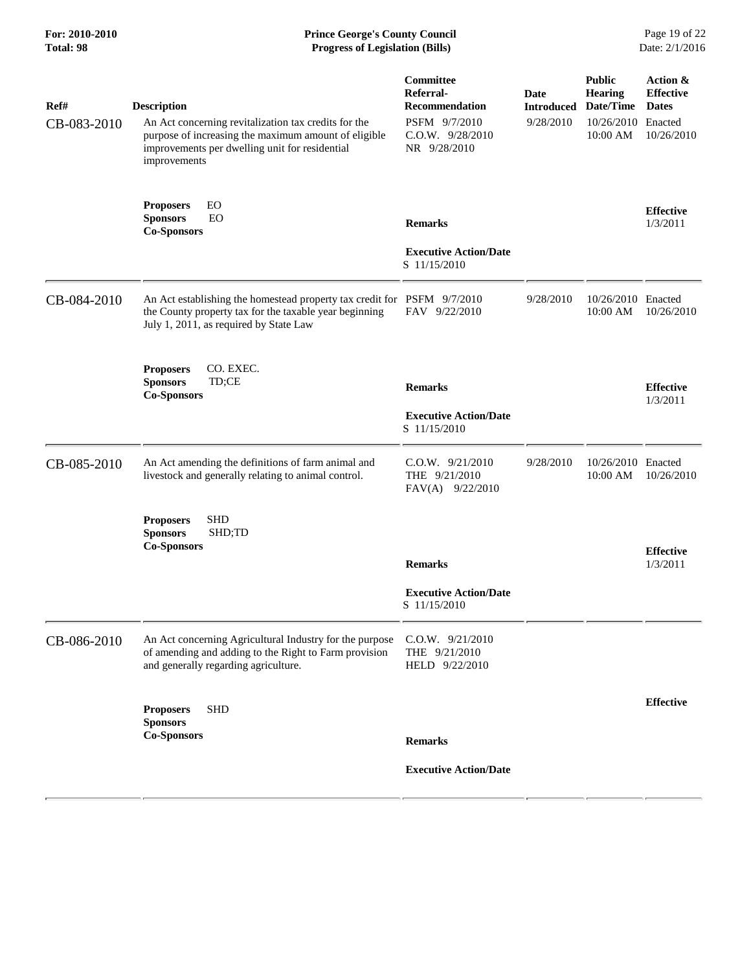| Ref#        | <b>Description</b>                                                                                                                                                             | Committee<br>Referral-<br><b>Recommendation</b>         | <b>Date</b><br><b>Introduced</b> | <b>Public</b><br><b>Hearing</b><br>Date/Time | Action &<br><b>Effective</b><br><b>Dates</b> |
|-------------|--------------------------------------------------------------------------------------------------------------------------------------------------------------------------------|---------------------------------------------------------|----------------------------------|----------------------------------------------|----------------------------------------------|
| CB-083-2010 | An Act concerning revitalization tax credits for the<br>purpose of increasing the maximum amount of eligible<br>improvements per dwelling unit for residential<br>improvements | PSFM 9/7/2010<br>C.O.W. 9/28/2010<br>NR 9/28/2010       | 9/28/2010                        | 10/26/2010 Enacted<br>10:00 AM               | 10/26/2010                                   |
|             | EO<br><b>Proposers</b><br><b>Sponsors</b><br>EO<br><b>Co-Sponsors</b>                                                                                                          | <b>Remarks</b>                                          |                                  |                                              | <b>Effective</b><br>1/3/2011                 |
|             |                                                                                                                                                                                | <b>Executive Action/Date</b><br>S 11/15/2010            |                                  |                                              |                                              |
| CB-084-2010 | An Act establishing the homestead property tax credit for PSFM 9/7/2010<br>the County property tax for the taxable year beginning<br>July 1, 2011, as required by State Law    | FAV 9/22/2010                                           | 9/28/2010                        | 10/26/2010 Enacted<br>10:00 AM               | 10/26/2010                                   |
|             | CO. EXEC.<br><b>Proposers</b><br>TD;CE<br><b>Sponsors</b><br><b>Co-Sponsors</b>                                                                                                | <b>Remarks</b>                                          |                                  |                                              | <b>Effective</b><br>1/3/2011                 |
|             |                                                                                                                                                                                | <b>Executive Action/Date</b><br>S 11/15/2010            |                                  |                                              |                                              |
| CB-085-2010 | An Act amending the definitions of farm animal and<br>livestock and generally relating to animal control.                                                                      | C.O.W. 9/21/2010<br>THE 9/21/2010<br>$FAV(A)$ 9/22/2010 | 9/28/2010                        | 10/26/2010 Enacted<br>10:00 AM               | 10/26/2010                                   |
|             | <b>SHD</b><br><b>Proposers</b><br>SHD;TD<br><b>Sponsors</b><br><b>Co-Sponsors</b>                                                                                              |                                                         |                                  |                                              | <b>Effective</b>                             |
|             |                                                                                                                                                                                | <b>Remarks</b>                                          |                                  |                                              | 1/3/2011                                     |
|             |                                                                                                                                                                                | <b>Executive Action/Date</b><br>S 11/15/2010            |                                  |                                              |                                              |
| CB-086-2010 | An Act concerning Agricultural Industry for the purpose<br>of amending and adding to the Right to Farm provision<br>and generally regarding agriculture.                       | C.O.W. 9/21/2010<br>THE 9/21/2010<br>HELD 9/22/2010     |                                  |                                              |                                              |
|             | <b>SHD</b><br><b>Proposers</b><br><b>Sponsors</b>                                                                                                                              |                                                         |                                  |                                              | <b>Effective</b>                             |
|             | <b>Co-Sponsors</b>                                                                                                                                                             | <b>Remarks</b>                                          |                                  |                                              |                                              |
|             |                                                                                                                                                                                | <b>Executive Action/Date</b>                            |                                  |                                              |                                              |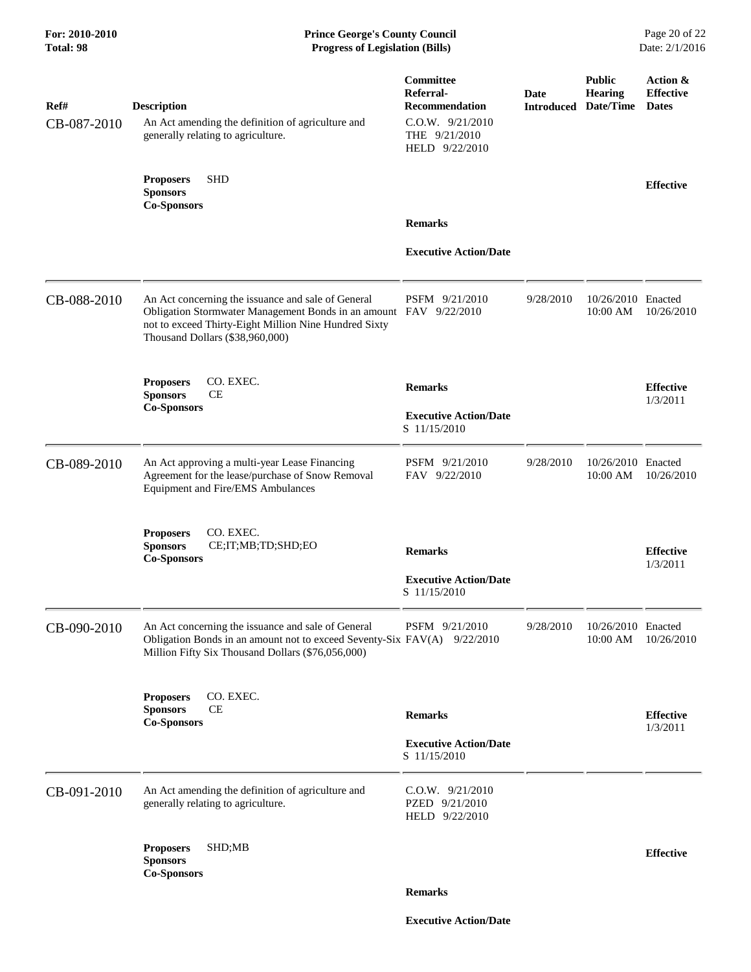| Ref#<br>CB-087-2010 | <b>Description</b><br>An Act amending the definition of agriculture and<br>generally relating to agriculture.                                                                                                       | <b>Committee</b><br>Referral-<br>Recommendation<br>$C.0.W.$ $9/21/2010$<br>THE $9/21/2010$<br>HELD 9/22/2010 | Date<br><b>Introduced</b> | <b>Public</b><br><b>Hearing</b><br>Date/Time | Action &<br><b>Effective</b><br><b>Dates</b> |
|---------------------|---------------------------------------------------------------------------------------------------------------------------------------------------------------------------------------------------------------------|--------------------------------------------------------------------------------------------------------------|---------------------------|----------------------------------------------|----------------------------------------------|
|                     | <b>SHD</b><br><b>Proposers</b><br><b>Sponsors</b><br><b>Co-Sponsors</b>                                                                                                                                             |                                                                                                              |                           |                                              | <b>Effective</b>                             |
|                     |                                                                                                                                                                                                                     | <b>Remarks</b>                                                                                               |                           |                                              |                                              |
|                     |                                                                                                                                                                                                                     | <b>Executive Action/Date</b>                                                                                 |                           |                                              |                                              |
| CB-088-2010         | An Act concerning the issuance and sale of General<br>Obligation Stormwater Management Bonds in an amount FAV 9/22/2010<br>not to exceed Thirty-Eight Million Nine Hundred Sixty<br>Thousand Dollars (\$38,960,000) | PSFM 9/21/2010                                                                                               | 9/28/2010                 | 10/26/2010 Enacted<br>10:00 AM               | 10/26/2010                                   |
|                     | CO. EXEC.<br><b>Proposers</b><br><b>Sponsors</b><br><b>CE</b><br><b>Co-Sponsors</b>                                                                                                                                 | <b>Remarks</b><br><b>Executive Action/Date</b>                                                               |                           |                                              | <b>Effective</b><br>1/3/2011                 |
|                     |                                                                                                                                                                                                                     | S 11/15/2010                                                                                                 |                           |                                              |                                              |
| CB-089-2010         | An Act approving a multi-year Lease Financing<br>Agreement for the lease/purchase of Snow Removal<br>Equipment and Fire/EMS Ambulances                                                                              | PSFM 9/21/2010<br>FAV 9/22/2010                                                                              | 9/28/2010                 | 10/26/2010 Enacted<br>$10:00$ AM             | 10/26/2010                                   |
|                     | CO. EXEC.<br><b>Proposers</b><br><b>Sponsors</b><br>CE;IT;MB;TD;SHD;EO<br><b>Co-Sponsors</b>                                                                                                                        | <b>Remarks</b>                                                                                               |                           |                                              | <b>Effective</b><br>1/3/2011                 |
|                     |                                                                                                                                                                                                                     | <b>Executive Action/Date</b><br>S 11/15/2010                                                                 |                           |                                              |                                              |
| CB-090-2010         | An Act concerning the issuance and sale of General<br>Obligation Bonds in an amount not to exceed Seventy-Six FAV(A) 9/22/2010<br>Million Fifty Six Thousand Dollars (\$76,056,000)                                 | PSFM 9/21/2010                                                                                               | 9/28/2010                 | 10/26/2010 Enacted<br>10:00 AM               | 10/26/2010                                   |
|                     | <b>Proposers</b><br>CO. EXEC.<br><b>CE</b><br><b>Sponsors</b><br><b>Co-Sponsors</b>                                                                                                                                 | <b>Remarks</b>                                                                                               |                           |                                              | <b>Effective</b>                             |
|                     |                                                                                                                                                                                                                     | <b>Executive Action/Date</b><br>S 11/15/2010                                                                 |                           |                                              | 1/3/2011                                     |
| CB-091-2010         | An Act amending the definition of agriculture and<br>generally relating to agriculture.                                                                                                                             | $C.0.W.$ $9/21/2010$<br>PZED 9/21/2010<br>HELD 9/22/2010                                                     |                           |                                              |                                              |
|                     | <b>Proposers</b><br>SHD;MB<br><b>Sponsors</b><br>Co-Sponsors                                                                                                                                                        |                                                                                                              |                           |                                              | <b>Effective</b>                             |
|                     |                                                                                                                                                                                                                     | <b>Remarks</b>                                                                                               |                           |                                              |                                              |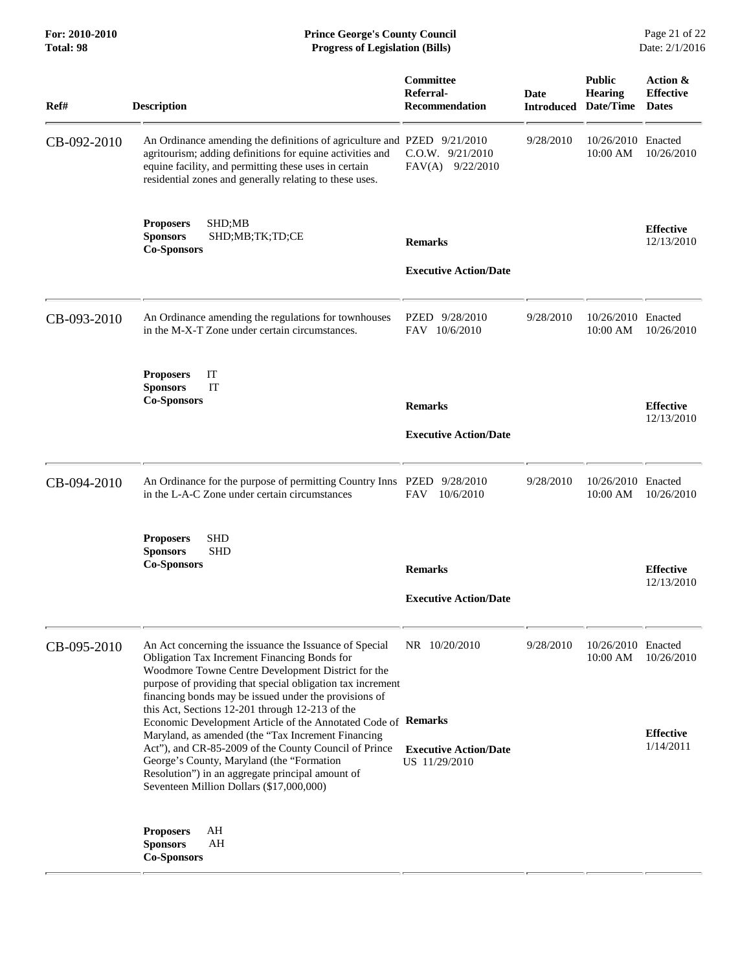**For: 2010-2010 Prince George's County Council** Page 21 of 22<br> **Prince George's County Council** Page 21 of 22<br> **Progress of Legislation (Bills)** Date: 2/1/2016 **Total: 98 Progress of Legislation (Bills)** 

| Ref#        | <b>Description</b>                                                                                                                                                                                                                                                                                                                                                                                                                                                                                                                                                                                                                                                   | Committee<br>Referral-<br><b>Recommendation</b>                | Date<br><b>Introduced</b> | <b>Public</b><br><b>Hearing</b><br>Date/Time | Action &<br><b>Effective</b><br><b>Dates</b> |
|-------------|----------------------------------------------------------------------------------------------------------------------------------------------------------------------------------------------------------------------------------------------------------------------------------------------------------------------------------------------------------------------------------------------------------------------------------------------------------------------------------------------------------------------------------------------------------------------------------------------------------------------------------------------------------------------|----------------------------------------------------------------|---------------------------|----------------------------------------------|----------------------------------------------|
| CB-092-2010 | An Ordinance amending the definitions of agriculture and PZED 9/21/2010<br>agritourism; adding definitions for equine activities and<br>equine facility, and permitting these uses in certain<br>residential zones and generally relating to these uses.                                                                                                                                                                                                                                                                                                                                                                                                             | $C.0.W.$ $9/21/2010$<br>FAV(A) 9/22/2010                       | 9/28/2010                 | 10/26/2010 Enacted<br>10:00 AM               | 10/26/2010                                   |
|             | SHD;MB<br><b>Proposers</b><br><b>Sponsors</b><br>SHD;MB;TK;TD;CE<br><b>Co-Sponsors</b>                                                                                                                                                                                                                                                                                                                                                                                                                                                                                                                                                                               | <b>Remarks</b><br><b>Executive Action/Date</b>                 |                           |                                              | <b>Effective</b><br>12/13/2010               |
| CB-093-2010 | An Ordinance amending the regulations for townhouses<br>in the M-X-T Zone under certain circumstances.                                                                                                                                                                                                                                                                                                                                                                                                                                                                                                                                                               | PZED 9/28/2010<br>FAV 10/6/2010                                | 9/28/2010                 | 10/26/2010 Enacted<br>10:00 AM               | 10/26/2010                                   |
|             | IT<br><b>Proposers</b><br>IT<br><b>Sponsors</b><br><b>Co-Sponsors</b>                                                                                                                                                                                                                                                                                                                                                                                                                                                                                                                                                                                                | <b>Remarks</b><br><b>Executive Action/Date</b>                 |                           |                                              | <b>Effective</b><br>12/13/2010               |
| CB-094-2010 | An Ordinance for the purpose of permitting Country Inns PZED 9/28/2010<br>in the L-A-C Zone under certain circumstances                                                                                                                                                                                                                                                                                                                                                                                                                                                                                                                                              | 10/6/2010<br>FAV                                               | 9/28/2010                 | 10/26/2010 Enacted<br>10:00 AM               | 10/26/2010                                   |
|             | <b>Proposers</b><br>SHD<br><b>SHD</b><br><b>Sponsors</b><br><b>Co-Sponsors</b>                                                                                                                                                                                                                                                                                                                                                                                                                                                                                                                                                                                       | <b>Remarks</b><br><b>Executive Action/Date</b>                 |                           |                                              | <b>Effective</b><br>12/13/2010               |
| CB-095-2010 | An Act concerning the issuance the Issuance of Special<br>Obligation Tax Increment Financing Bonds for<br>Woodmore Towne Centre Development District for the<br>purpose of providing that special obligation tax increment<br>financing bonds may be issued under the provisions of<br>this Act, Sections 12-201 through 12-213 of the<br>Economic Development Article of the Annotated Code of Remarks<br>Maryland, as amended (the "Tax Increment Financing<br>Act"), and CR-85-2009 of the County Council of Prince<br>George's County, Maryland (the "Formation"<br>Resolution") in an aggregate principal amount of<br>Seventeen Million Dollars (\$17,000,000) | NR 10/20/2010<br><b>Executive Action/Date</b><br>US 11/29/2010 | 9/28/2010                 | 10/26/2010 Enacted<br>10:00 AM               | 10/26/2010<br><b>Effective</b><br>1/14/2011  |
|             | AH<br><b>Proposers</b><br><b>Sponsors</b><br>AH<br><b>Co-Sponsors</b>                                                                                                                                                                                                                                                                                                                                                                                                                                                                                                                                                                                                |                                                                |                           |                                              |                                              |